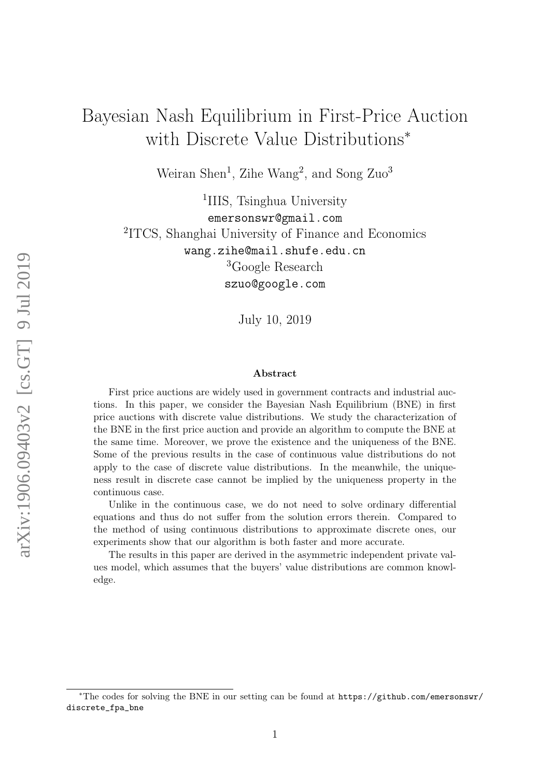# Bayesian Nash Equilibrium in First-Price Auction with Discrete Value Distributions<sup>∗</sup>

Weiran Shen<sup>1</sup>, Zihe Wang<sup>2</sup>, and Song  $Zuo<sup>3</sup>$ 

<sup>1</sup>IIIS, Tsinghua University emersonswr@gmail.com 2 ITCS, Shanghai University of Finance and Economics wang.zihe@mail.shufe.edu.cn <sup>3</sup>Google Research szuo@google.com

July 10, 2019

#### Abstract

First price auctions are widely used in government contracts and industrial auctions. In this paper, we consider the Bayesian Nash Equilibrium (BNE) in first price auctions with discrete value distributions. We study the characterization of the BNE in the first price auction and provide an algorithm to compute the BNE at the same time. Moreover, we prove the existence and the uniqueness of the BNE. Some of the previous results in the case of continuous value distributions do not apply to the case of discrete value distributions. In the meanwhile, the uniqueness result in discrete case cannot be implied by the uniqueness property in the continuous case.

Unlike in the continuous case, we do not need to solve ordinary differential equations and thus do not suffer from the solution errors therein. Compared to the method of using continuous distributions to approximate discrete ones, our experiments show that our algorithm is both faster and more accurate.

The results in this paper are derived in the asymmetric independent private values model, which assumes that the buyers' value distributions are common knowledge.

<sup>∗</sup>The codes for solving the BNE in our setting can be found at [https://github.com/emersonswr/](https://github.com/emersonswr/discrete_fpa_bne) [discrete\\_fpa\\_bne](https://github.com/emersonswr/discrete_fpa_bne)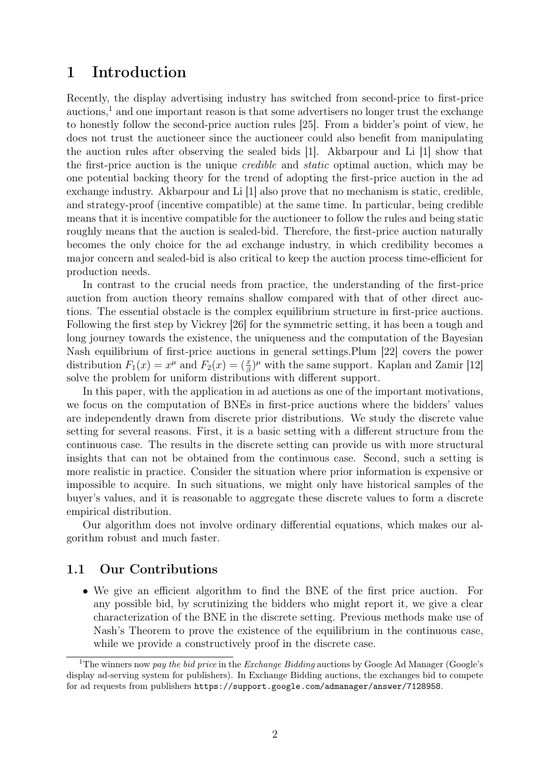## 1 Introduction

Recently, the display advertising industry has switched from second-price to first-price  $\alpha$  auctions,<sup>[1](#page-1-0)</sup> and one important reason is that some advertisers no longer trust the exchange to honestly follow the second-price auction rules [\[25\]](#page-23-0). From a bidder's point of view, he does not trust the auctioneer since the auctioneer could also benefit from manipulating the auction rules after observing the sealed bids [\[1\]](#page-21-0). Akbarpour and Li [\[1\]](#page-21-0) show that the first-price auction is the unique credible and static optimal auction, which may be one potential backing theory for the trend of adopting the first-price auction in the ad exchange industry. Akbarpour and Li [\[1\]](#page-21-0) also prove that no mechanism is static, credible, and strategy-proof (incentive compatible) at the same time. In particular, being credible means that it is incentive compatible for the auctioneer to follow the rules and being static roughly means that the auction is sealed-bid. Therefore, the first-price auction naturally becomes the only choice for the ad exchange industry, in which credibility becomes a major concern and sealed-bid is also critical to keep the auction process time-efficient for production needs.

In contrast to the crucial needs from practice, the understanding of the first-price auction from auction theory remains shallow compared with that of other direct auctions. The essential obstacle is the complex equilibrium structure in first-price auctions. Following the first step by Vickrey [\[26\]](#page-23-1) for the symmetric setting, it has been a tough and long journey towards the existence, the uniqueness and the computation of the Bayesian Nash equilibrium of first-price auctions in general settings.Plum [\[22\]](#page-22-0) covers the power distribution  $F_1(x) = x^{\mu}$  and  $F_2(x) = \left(\frac{x}{\beta}\right)^{\mu}$  with the same support. Kaplan and Zamir [\[12\]](#page-22-1) solve the problem for uniform distributions with different support.

In this paper, with the application in ad auctions as one of the important motivations, we focus on the computation of BNEs in first-price auctions where the bidders' values are independently drawn from discrete prior distributions. We study the discrete value setting for several reasons. First, it is a basic setting with a different structure from the continuous case. The results in the discrete setting can provide us with more structural insights that can not be obtained from the continuous case. Second, such a setting is more realistic in practice. Consider the situation where prior information is expensive or impossible to acquire. In such situations, we might only have historical samples of the buyer's values, and it is reasonable to aggregate these discrete values to form a discrete empirical distribution.

Our algorithm does not involve ordinary differential equations, which makes our algorithm robust and much faster.

### 1.1 Our Contributions

• We give an efficient algorithm to find the BNE of the first price auction. For any possible bid, by scrutinizing the bidders who might report it, we give a clear characterization of the BNE in the discrete setting. Previous methods make use of Nash's Theorem to prove the existence of the equilibrium in the continuous case, while we provide a constructively proof in the discrete case.

<span id="page-1-0"></span><sup>&</sup>lt;sup>1</sup>The winners now pay the bid price in the Exchange Bidding auctions by Google Ad Manager (Google's display ad-serving system for publishers). In Exchange Bidding auctions, the exchanges bid to compete for ad requests from publishers <https://support.google.com/admanager/answer/7128958>.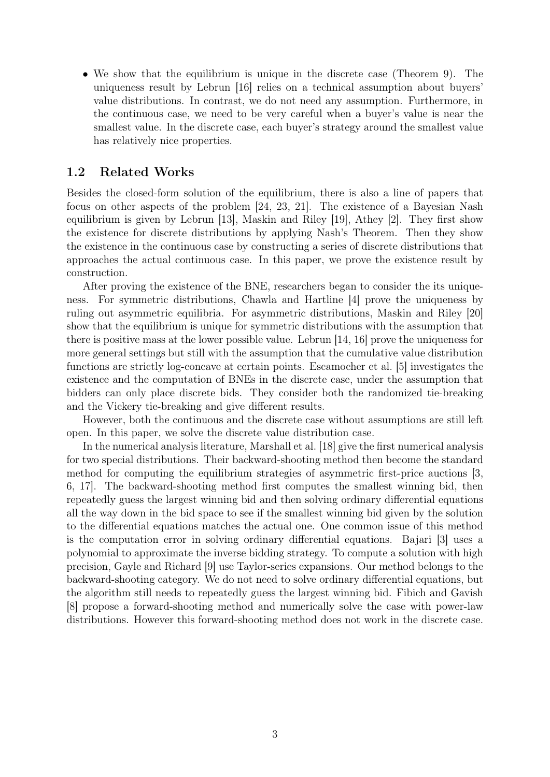• We show that the equilibrium is unique in the discrete case (Theorem [9\)](#page-13-0). The uniqueness result by Lebrun [\[16\]](#page-22-2) relies on a technical assumption about buyers' value distributions. In contrast, we do not need any assumption. Furthermore, in the continuous case, we need to be very careful when a buyer's value is near the smallest value. In the discrete case, each buyer's strategy around the smallest value has relatively nice properties.

## <span id="page-2-0"></span>1.2 Related Works

Besides the closed-form solution of the equilibrium, there is also a line of papers that focus on other aspects of the problem [\[24,](#page-23-2) [23,](#page-23-3) [21\]](#page-22-3). The existence of a Bayesian Nash equilibrium is given by Lebrun [\[13\]](#page-22-4), Maskin and Riley [\[19\]](#page-22-5), Athey [\[2\]](#page-21-1). They first show the existence for discrete distributions by applying Nash's Theorem. Then they show the existence in the continuous case by constructing a series of discrete distributions that approaches the actual continuous case. In this paper, we prove the existence result by construction.

After proving the existence of the BNE, researchers began to consider the its uniqueness. For symmetric distributions, Chawla and Hartline [\[4\]](#page-21-2) prove the uniqueness by ruling out asymmetric equilibria. For asymmetric distributions, Maskin and Riley [\[20\]](#page-22-6) show that the equilibrium is unique for symmetric distributions with the assumption that there is positive mass at the lower possible value. Lebrun [\[14,](#page-22-7) [16\]](#page-22-2) prove the uniqueness for more general settings but still with the assumption that the cumulative value distribution functions are strictly log-concave at certain points. Escamocher et al. [\[5\]](#page-21-3) investigates the existence and the computation of BNEs in the discrete case, under the assumption that bidders can only place discrete bids. They consider both the randomized tie-breaking and the Vickery tie-breaking and give different results.

However, both the continuous and the discrete case without assumptions are still left open. In this paper, we solve the discrete value distribution case.

In the numerical analysis literature, Marshall et al. [\[18\]](#page-22-8) give the first numerical analysis for two special distributions. Their backward-shooting method then become the standard method for computing the equilibrium strategies of asymmetric first-price auctions [\[3,](#page-21-4) [6,](#page-21-5) [17\]](#page-22-9). The backward-shooting method first computes the smallest winning bid, then repeatedly guess the largest winning bid and then solving ordinary differential equations all the way down in the bid space to see if the smallest winning bid given by the solution to the differential equations matches the actual one. One common issue of this method is the computation error in solving ordinary differential equations. Bajari [\[3\]](#page-21-4) uses a polynomial to approximate the inverse bidding strategy. To compute a solution with high precision, Gayle and Richard [\[9\]](#page-22-10) use Taylor-series expansions. Our method belongs to the backward-shooting category. We do not need to solve ordinary differential equations, but the algorithm still needs to repeatedly guess the largest winning bid. Fibich and Gavish [\[8\]](#page-22-11) propose a forward-shooting method and numerically solve the case with power-law distributions. However this forward-shooting method does not work in the discrete case.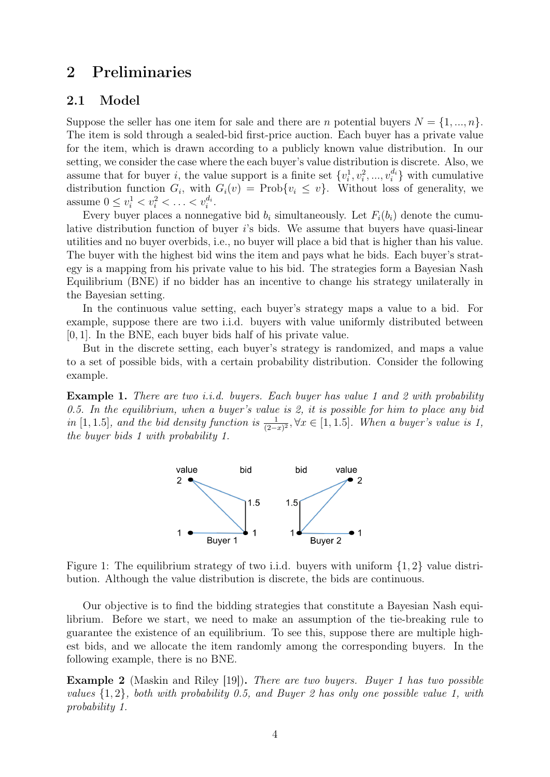## 2 Preliminaries

### 2.1 Model

Suppose the seller has one item for sale and there are *n* potential buyers  $N = \{1, ..., n\}$ . The item is sold through a sealed-bid first-price auction. Each buyer has a private value for the item, which is drawn according to a publicly known value distribution. In our setting, we consider the case where the each buyer's value distribution is discrete. Also, we assume that for buyer *i*, the value support is a finite set  $\{v_i^1, v_i^2, ..., v_i^{d_i}\}$  with cumulative distribution function  $G_i$ , with  $G_i(v) = \text{Prob}\{v_i \leq v\}$ . Without loss of generality, we assume  $0 \le v_i^1 < v_i^2 < \ldots < v_i^{d_i}$ .

Every buyer places a nonnegative bid  $b_i$  simultaneously. Let  $F_i(b_i)$  denote the cumulative distribution function of buyer i's bids. We assume that buyers have quasi-linear utilities and no buyer overbids, i.e., no buyer will place a bid that is higher than his value. The buyer with the highest bid wins the item and pays what he bids. Each buyer's strategy is a mapping from his private value to his bid. The strategies form a Bayesian Nash Equilibrium (BNE) if no bidder has an incentive to change his strategy unilaterally in the Bayesian setting.

In the continuous value setting, each buyer's strategy maps a value to a bid. For example, suppose there are two i.i.d. buyers with value uniformly distributed between [0, 1]. In the BNE, each buyer bids half of his private value.

But in the discrete setting, each buyer's strategy is randomized, and maps a value to a set of possible bids, with a certain probability distribution. Consider the following example.

<span id="page-3-0"></span>**Example 1.** There are two *i.i.d.* buyers. Each buyer has value 1 and 2 with probability 0.5. In the equilibrium, when a buyer's value is 2, it is possible for him to place any bid in [1, 1.5], and the bid density function is  $\frac{1}{(2-x)^2}$ ,  $\forall x \in [1, 1.5]$ . When a buyer's value is 1, the buyer bids 1 with probability 1.



Figure 1: The equilibrium strategy of two i.i.d. buyers with uniform  $\{1, 2\}$  value distribution. Although the value distribution is discrete, the bids are continuous.

Our objective is to find the bidding strategies that constitute a Bayesian Nash equilibrium. Before we start, we need to make an assumption of the tie-breaking rule to guarantee the existence of an equilibrium. To see this, suppose there are multiple highest bids, and we allocate the item randomly among the corresponding buyers. In the following example, there is no BNE.

Example 2 (Maskin and Riley [\[19\]](#page-22-5)). There are two buyers. Buyer 1 has two possible values  $\{1,2\}$ , both with probability 0.5, and Buyer 2 has only one possible value 1, with probability 1.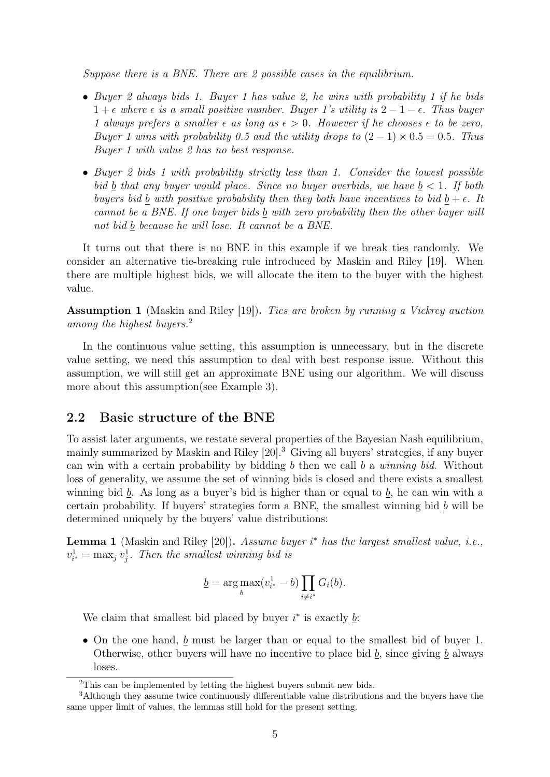Suppose there is a BNE. There are 2 possible cases in the equilibrium.

- Buyer 2 always bids 1. Buyer 1 has value 2, he wins with probability 1 if he bids  $1 + \epsilon$  where  $\epsilon$  is a small positive number. Buyer 1's utility is  $2 - 1 - \epsilon$ . Thus buyer 1 always prefers a smaller  $\epsilon$  as long as  $\epsilon > 0$ . However if he chooses  $\epsilon$  to be zero, Buyer 1 wins with probability 0.5 and the utility drops to  $(2-1) \times 0.5 = 0.5$ . Thus Buyer 1 with value 2 has no best response.
- Buyer 2 bids 1 with probability strictly less than 1. Consider the lowest possible bid b that any buyer would place. Since no buyer overbids, we have  $b < 1$ . If both buyers bid b with positive probability then they both have incentives to bid  $b + \epsilon$ . It cannot be a BNE. If one buyer bids  $\underline{b}$  with zero probability then the other buyer will not bid  $\underline{b}$  because he will lose. It cannot be a BNE.

It turns out that there is no BNE in this example if we break ties randomly. We consider an alternative tie-breaking rule introduced by Maskin and Riley [\[19\]](#page-22-5). When there are multiple highest bids, we will allocate the item to the buyer with the highest value.

<span id="page-4-2"></span>Assumption 1 (Maskin and Riley [\[19\]](#page-22-5)). Ties are broken by running a Vickrey auction among the highest buyers.<sup>[2](#page-4-0)</sup>

In the continuous value setting, this assumption is unnecessary, but in the discrete value setting, we need this assumption to deal with best response issue. Without this assumption, we will still get an approximate BNE using our algorithm. We will discuss more about this assumption(see Example [3\)](#page-5-0).

### 2.2 Basic structure of the BNE

To assist later arguments, we restate several properties of the Bayesian Nash equilibrium, mainly summarized by Maskin and Riley [\[20\]](#page-22-6).[3](#page-4-1) Giving all buyers' strategies, if any buyer can win with a certain probability by bidding b then we call b a winning bid. Without loss of generality, we assume the set of winning bids is closed and there exists a smallest winning bid b. As long as a buyer's bid is higher than or equal to b, he can win with a certain probability. If buyers' strategies form a BNE, the smallest winning bid  $\underline{b}$  will be determined uniquely by the buyers' value distributions:

<span id="page-4-3"></span>**Lemma 1** (Maskin and Riley [\[20\]](#page-22-6)). Assume buyer  $i^*$  has the largest smallest value, i.e.,  $v_{i^*}^1 = \max_j v_j^1$ . Then the smallest winning bid is

$$
\underline{b} = \underset{b}{\arg \max} (v_{i^*}^1 - b) \prod_{i \neq i^*} G_i(b).
$$

We claim that smallest bid placed by buyer  $i^*$  is exactly  $\underline{b}$ :

• On the one hand,  $\underline{b}$  must be larger than or equal to the smallest bid of buyer 1. Otherwise, other buyers will have no incentive to place bid  $\underline{b}$ , since giving  $\underline{b}$  always loses.

<span id="page-4-1"></span><span id="page-4-0"></span><sup>2</sup>This can be implemented by letting the highest buyers submit new bids.

<sup>3</sup>Although they assume twice continuously differentiable value distributions and the buyers have the same upper limit of values, the lemmas still hold for the present setting.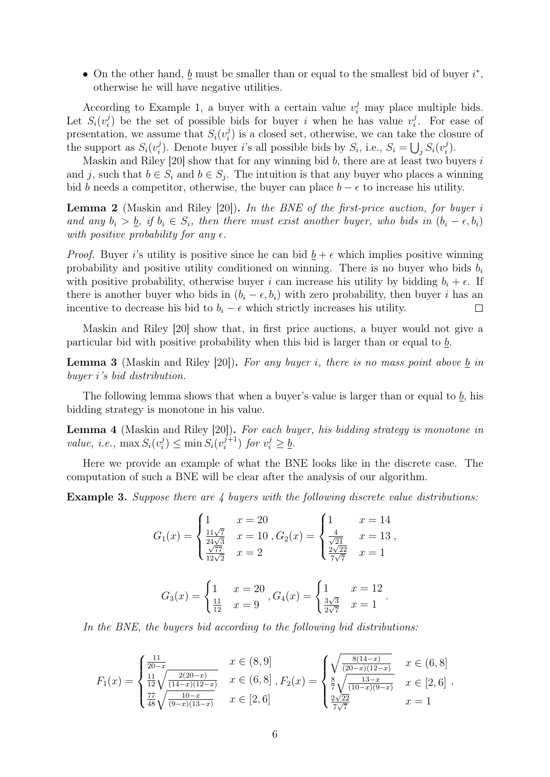• On the other hand,  $\underline{b}$  must be smaller than or equal to the smallest bid of buyer  $i^*$ , otherwise he will have negative utilities.

According to Example [1,](#page-3-0) a buyer with a certain value  $v_i^j$  may place multiple bids. Let  $S_i(v_i^j)$  $i$ ) be the set of possible bids for buyer i when he has value  $v_i^j$  $v_i^j$ . For ease of presentation, we assume that  $S_i(v_i^j)$  $\mathbf{z}_i^j$  is a closed set, otherwise, we can take the closure of the support as  $S_i(v_i^j)$ <sup>j</sup>). Denote buyer *i*'s all possible bids by  $S_i$ , i.e.,  $S_i = \bigcup_j S_i(v_i^j)$  $\binom{j}{i}$ .

Maskin and Riley  $[20]$  show that for any winning bid b, there are at least two buyers i and j, such that  $b \in S_i$  and  $b \in S_j$ . The intuition is that any buyer who places a winning bid b needs a competitor, otherwise, the buyer can place  $b - \epsilon$  to increase his utility.

<span id="page-5-3"></span>**Lemma 2** (Maskin and Riley [\[20\]](#page-22-6)). In the BNE of the first-price auction, for buyer i and any  $b_i > b_j$ , if  $b_i \in S_i$ , then there must exist another buyer, who bids in  $(b_i - \epsilon, b_i)$ with positive probability for any  $\epsilon$ .

*Proof.* Buyer i's utility is positive since he can bid  $b + \epsilon$  which implies positive winning probability and positive utility conditioned on winning. There is no buyer who bids  $b_i$ with positive probability, otherwise buyer i can increase his utility by bidding  $b_i + \epsilon$ . If there is another buyer who bids in  $(b_i - \epsilon, b_i)$  with zero probability, then buyer i has an incentive to decrease his bid to  $b_i - \epsilon$  which strictly increases his utility.  $\Box$ 

Maskin and Riley [\[20\]](#page-22-6) show that, in first price auctions, a buyer would not give a particular bid with positive probability when this bid is larger than or equal to b.

<span id="page-5-2"></span>**Lemma 3** (Maskin and Riley [\[20\]](#page-22-6)). For any buyer i, there is no mass point above  $\underline{b}$  in buyer i's bid distribution.

The following lemma shows that when a buyer's value is larger than or equal to  $\underline{b}$ , his bidding strategy is monotone in his value.

<span id="page-5-1"></span>Lemma 4 (Maskin and Riley [\[20\]](#page-22-6)). For each buyer, his bidding strategy is monotone in value, i.e.,  $\max S_i(v_i^j)$  $s_i^j$ )  $\leq$  min  $S_i(v_i^{j+1})$  $j+1 \choose i$  for  $v_i^j \geq \underline{b}$ .

Here we provide an example of what the BNE looks like in the discrete case. The computation of such a BNE will be clear after the analysis of our algorithm.

<span id="page-5-0"></span>Example 3. Suppose there are 4 buyers with the following discrete value distributions:

$$
G_1(x) = \begin{cases} 1 & x = 20 \\ \frac{11\sqrt{7}}{24\sqrt{3}} & x = 10 \\ \frac{\sqrt{77}}{12\sqrt{2}} & x = 2 \end{cases}, G_2(x) = \begin{cases} 1 & x = 14 \\ \frac{4}{\sqrt{21}} & x = 13 \\ \frac{2\sqrt{22}}{7\sqrt{7}} & x = 1 \end{cases},
$$

$$
G_3(x) = \begin{cases} 1 & x = 20 \\ \frac{11}{12} & x = 9 \end{cases}, G_4(x) = \begin{cases} 1 & x = 12 \\ \frac{3\sqrt{3}}{2\sqrt{7}} & x = 1 \end{cases}.
$$

In the BNE, the buyers bid according to the following bid distributions:

$$
F_1(x) = \begin{cases} \frac{11}{20-x} & x \in (8,9] \\ \frac{11}{12}\sqrt{\frac{2(20-x)}{(14-x)(12-x)}} & x \in (6,8] \\ \frac{77}{48}\sqrt{\frac{10-x}{(9-x)(13-x)}} & x \in [2,6] \end{cases}, F_2(x) = \begin{cases} \sqrt{\frac{8(14-x)}{(20-x)(12-x)}} & x \in (6,8] \\ \frac{8}{7}\sqrt{\frac{13-x}{(10-x)(9-x)}} & x \in [2,6] \\ \frac{2\sqrt{22}}{7\sqrt{7}} & x = 1 \end{cases}
$$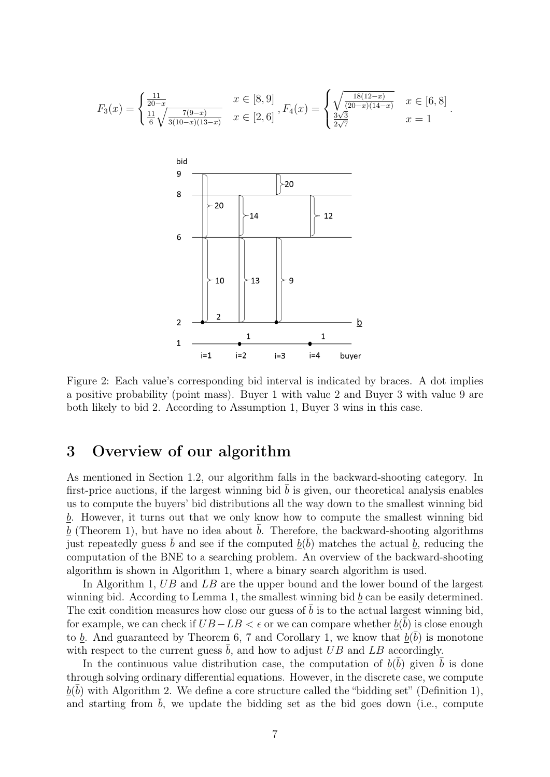<span id="page-6-0"></span>
$$
F_3(x) = \begin{cases} \frac{11}{20-x} & x \in [8,9] \\ \frac{11}{6}\sqrt{\frac{7(9-x)}{3(10-x)(13-x)}} & x \in [2,6] \end{cases}, F_4(x) = \begin{cases} \sqrt{\frac{18(12-x)}{(20-x)(14-x)}} & x \in [6,8] \\ \frac{3\sqrt{3}}{2\sqrt{7}} & x = 1 \end{cases}
$$

.



Figure 2: Each value's corresponding bid interval is indicated by braces. A dot implies a positive probability (point mass). Buyer 1 with value 2 and Buyer 3 with value 9 are both likely to bid 2. According to Assumption [1,](#page-4-2) Buyer 3 wins in this case.

## 3 Overview of our algorithm

As mentioned in Section [1.2,](#page-2-0) our algorithm falls in the backward-shooting category. In first-price auctions, if the largest winning bid  $\bar{b}$  is given, our theoretical analysis enables us to compute the buyers' bid distributions all the way down to the smallest winning bid  $\underline{b}$ . However, it turns out that we only know how to compute the smallest winning bid  $b$  (Theorem [1\)](#page-4-3), but have no idea about  $b$ . Therefore, the backward-shooting algorithms just repeatedly guess  $\bar{b}$  and see if the computed  $\underline{b}(\bar{b})$  matches the actual  $\underline{b}$ , reducing the computation of the BNE to a searching problem. An overview of the backward-shooting algorithm is shown in Algorithm [1,](#page-7-0) where a binary search algorithm is used.

In Algorithm [1,](#page-7-0) UB and LB are the upper bound and the lower bound of the largest winning bid. According to Lemma [1,](#page-4-3) the smallest winning bid  $b$  can be easily determined. The exit condition measures how close our guess of  $\overline{b}$  is to the actual largest winning bid, for example, we can check if  $UB - LB < \epsilon$  or we can compare whether  $\underline{b}(\bar{\bar{b}})$  is close enough to  $\underline{b}$ . And guaranteed by Theorem [6,](#page-11-0) [7](#page-11-1) and Corollary [1,](#page-11-2) we know that  $\underline{b}(\overline{b})$  is monotone with respect to the current guess  $\bar{b}$ , and how to adjust UB and LB accordingly.

In the continuous value distribution case, the computation of  $\underline{b}(\bar{b})$  given  $\bar{b}$  is done through solving ordinary differential equations. However, in the discrete case, we compute  $\underline{b}(\bar{b})$  with Algorithm [2.](#page-7-1) We define a core structure called the "bidding set" (Definition [1\)](#page-7-2), and starting from  $\bar{b}$ , we update the bidding set as the bid goes down (i.e., compute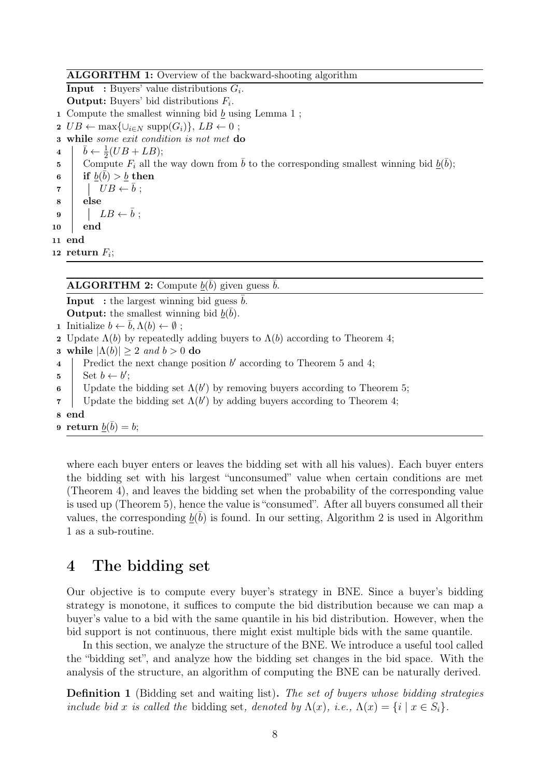#### ALGORITHM 1: Overview of the backward-shooting algorithm

**Input** : Buyers' value distributions  $G_i$ .

**Output:** Buyers' bid distributions  $F_i$ .

1 Compute the smallest winning bid  $\underline{b}$  using Lemma [1](#page-4-3);

2  $UB \leftarrow \max\{\cup_{i \in N} \text{supp}(G_i)\}, LB \leftarrow 0$ ;

```
3 while some exit condition is not met do
```

```
4
           \bar{b} \leftarrow \frac{1}{2}(UB + LB);5 Compute F_i all the way down from \bar{b} to the corresponding smallest winning bid \underline{b}(\bar{b});\mathfrak{b}\quad\quad\text{if } \underline{b}(\bar{\bar{b}})>\underline{b}\text{ then}7 \mid \mid UB \leftarrow b ;8 else
 9 \vert LB \leftarrow \bar{b};
10 end
11 end
12 return F_i;
```
## <span id="page-7-0"></span>**ALGORITHM 2:** Compute  $\underline{b}(\bar{b})$  given guess  $\bar{b}$ .

```
Input : the largest winning bid guess \bar{b}.
  Output: the smallest winning bid \underline{b}(\overline{b}).
1 Initialize b \leftarrow b, \Lambda(b) \leftarrow \emptyset;
2 Update \Lambda(b) by repeatedly adding buyers to \Lambda(b) 4;
3 while |\Lambda(b)| \geq 2 and b > 0 do
4 | Predict the next change position b' 5 4;
5 Set b \leftarrow b';
6 Update the bidding set \Lambda(b') 5;
7 Update the bidding set \Lambda(b') 4;
8 end
9 return \underline{b}(\bar b)=b;
```
<span id="page-7-1"></span>where each buyer enters or leaves the bidding set with all his values). Each buyer enters the bidding set with his largest "unconsumed" value when certain conditions are met (Theorem [4\)](#page-10-0), and leaves the bidding set when the probability of the corresponding value is used up (Theorem [5\)](#page-11-3), hence the value is "consumed". After all buyers consumed all their values, the corresponding  $\underline{b}(\overline{b})$  is found. In our setting, Algorithm [2](#page-7-1) is used in Algorithm [1](#page-7-0) as a sub-routine.

## <span id="page-7-3"></span>4 The bidding set

Our objective is to compute every buyer's strategy in BNE. Since a buyer's bidding strategy is monotone, it suffices to compute the bid distribution because we can map a buyer's value to a bid with the same quantile in his bid distribution. However, when the bid support is not continuous, there might exist multiple bids with the same quantile.

In this section, we analyze the structure of the BNE. We introduce a useful tool called the "bidding set", and analyze how the bidding set changes in the bid space. With the analysis of the structure, an algorithm of computing the BNE can be naturally derived.

<span id="page-7-2"></span>**Definition 1** (Bidding set and waiting list). The set of buyers whose bidding strategies include bid x is called the bidding set, denoted by  $\Lambda(x)$ , i.e.,  $\Lambda(x) = \{i \mid x \in S_i\}.$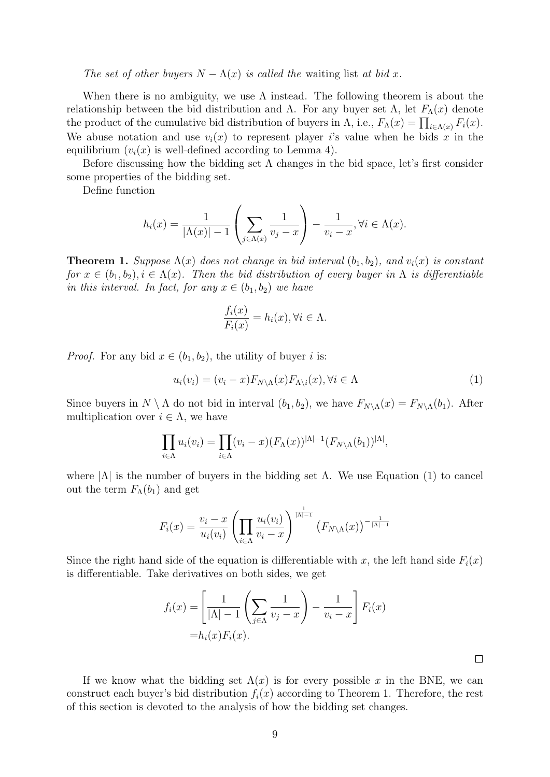The set of other buyers  $N - \Lambda(x)$  is called the waiting list at bid x.

When there is no ambiguity, we use  $\Lambda$  instead. The following theorem is about the relationship between the bid distribution and Λ. For any buyer set Λ, let  $F_{\Lambda}(x)$  denote the product of the cumulative bid distribution of buyers in  $\Lambda$ , i.e.,  $F_{\Lambda}(x) = \prod_{i \in \Lambda(x)} F_i(x)$ . We abuse notation and use  $v_i(x)$  to represent player is value when he bids x in the equilibrium  $(v_i(x)$  is well-defined according to Lemma [4\)](#page-5-1).

Before discussing how the bidding set  $\Lambda$  changes in the bid space, let's first consider some properties of the bidding set.

Define function

$$
h_i(x) = \frac{1}{|\Lambda(x)| - 1} \left( \sum_{j \in \Lambda(x)} \frac{1}{v_j - x} \right) - \frac{1}{v_i - x}, \forall i \in \Lambda(x).
$$

<span id="page-8-1"></span>**Theorem 1.** Suppose  $\Lambda(x)$  does not change in bid interval  $(b_1, b_2)$ , and  $v_i(x)$  is constant for  $x \in (b_1, b_2), i \in \Lambda(x)$ . Then the bid distribution of every buyer in  $\Lambda$  is differentiable in this interval. In fact, for any  $x \in (b_1, b_2)$  we have

$$
\frac{f_i(x)}{F_i(x)} = h_i(x), \forall i \in \Lambda.
$$

*Proof.* For any bid  $x \in (b_1, b_2)$ , the utility of buyer i is:

<span id="page-8-0"></span>
$$
u_i(v_i) = (v_i - x)F_{N \setminus \Lambda}(x)F_{\Lambda \setminus i}(x), \forall i \in \Lambda \tag{1}
$$

Since buyers in  $N \setminus \Lambda$  do not bid in interval  $(b_1, b_2)$ , we have  $F_{N\setminus\Lambda}(x) = F_{N\setminus\Lambda}(b_1)$ . After multiplication over  $i \in \Lambda$ , we have

$$
\prod_{i\in\Lambda} u_i(v_i) = \prod_{i\in\Lambda} (v_i - x) (F_{\Lambda}(x))^{|\Lambda|-1} (F_{N\setminus\Lambda}(b_1))^{|\Lambda|},
$$

where  $|\Lambda|$  is the number of buyers in the bidding set  $\Lambda$ . We use Equation [\(1\)](#page-8-0) to cancel out the term  $F_{\Lambda}(b_1)$  and get

$$
F_i(x) = \frac{v_i - x}{u_i(v_i)} \left( \prod_{i \in \Lambda} \frac{u_i(v_i)}{v_i - x} \right)^{\frac{1}{|\Lambda| - 1}} \left( F_{N \setminus \Lambda}(x) \right)^{-\frac{1}{|\Lambda| - 1}}
$$

Since the right hand side of the equation is differentiable with x, the left hand side  $F_i(x)$ is differentiable. Take derivatives on both sides, we get

$$
f_i(x) = \left[ \frac{1}{|\Lambda| - 1} \left( \sum_{j \in \Lambda} \frac{1}{v_j - x} \right) - \frac{1}{v_i - x} \right] F_i(x)
$$

$$
= h_i(x) F_i(x).
$$

If we know what the bidding set  $\Lambda(x)$  is for every possible x in the BNE, we can construct each buyer's bid distribution  $f_i(x)$  according to Theorem [1.](#page-8-1) Therefore, the rest of this section is devoted to the analysis of how the bidding set changes.

 $\Box$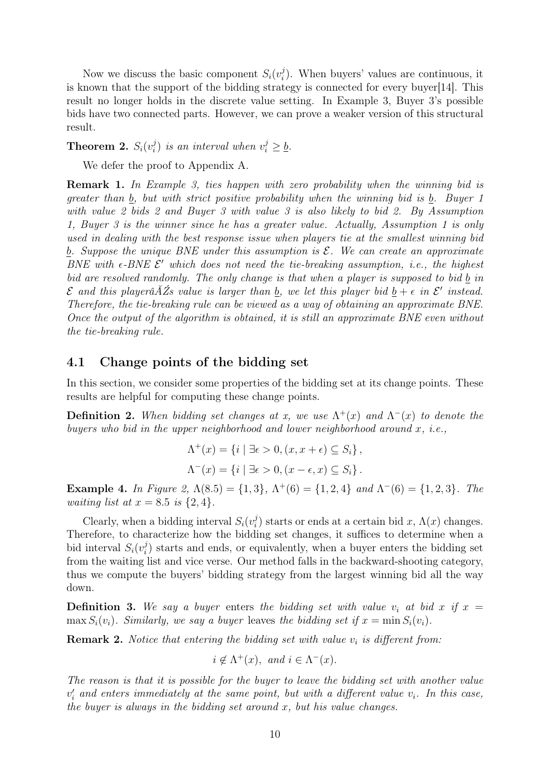Now we discuss the basic component  $S_i(v_i^j)$  $i$ ). When buyers' values are continuous, it is known that the support of the bidding strategy is connected for every buyer[\[14\]](#page-22-7). This result no longer holds in the discrete value setting. In Example [3,](#page-5-0) Buyer 3's possible bids have two connected parts. However, we can prove a weaker version of this structural result.

<span id="page-9-0"></span>Theorem 2.  $S_i(v_i^j)$  $i_j$ ) is an interval when  $v_i^j \geq \underline{b}$ .

We defer the proof to Appendix [A.](#page-24-0)

Remark 1. In Example [3,](#page-5-0) ties happen with zero probability when the winning bid is greater than b, but with strict positive probability when the winning bid is b. Buyer 1 with value 2 bids 2 and Buyer 3 with value 3 is also likely to bid 2. By Assumption [1,](#page-4-2) Buyer 3 is the winner since he has a greater value. Actually, Assumption [1](#page-4-2) is only used in dealing with the best response issue when players tie at the smallest winning bid b. Suppose the unique BNE under this assumption is  $\mathcal{E}$ . We can create an approximate BNE with  $\epsilon$ -BNE  $\mathcal{E}'$  which does not need the tie-breaking assumption, i.e., the highest bid are resolved randomly. The only change is that when a player is supposed to bid b in  $\mathcal E$  and this playerâ $\breve A\breve Z$ s value is larger than <u>b</u>, we let this player bid  $\underline b + \epsilon$  in  $\mathcal E'$  instead. Therefore, the tie-breaking rule can be viewed as a way of obtaining an approximate BNE. Once the output of the algorithm is obtained, it is still an approximate BNE even without the tie-breaking rule.

## 4.1 Change points of the bidding set

In this section, we consider some properties of the bidding set at its change points. These results are helpful for computing these change points.

**Definition 2.** When bidding set changes at x, we use  $\Lambda^+(x)$  and  $\Lambda^-(x)$  to denote the buyers who bid in the upper neighborhood and lower neighborhood around  $x$ , i.e.,

$$
\Lambda^+(x) = \{i \mid \exists \epsilon > 0, (x, x + \epsilon) \subseteq S_i\},\
$$

$$
\Lambda^-(x) = \{i \mid \exists \epsilon > 0, (x - \epsilon, x) \subseteq S_i\}.
$$

Example 4. In Figure [2,](#page-6-0)  $\Lambda(8.5) = \{1,3\}$ ,  $\Lambda^+(6) = \{1,2,4\}$  and  $\Lambda^-(6) = \{1,2,3\}$ . The *waiting list at*  $x = 8.5$  *is*  $\{2, 4\}.$ 

Clearly, when a bidding interval  $S_i(v_i^j)$  $\lambda_i^j$ ) starts or ends at a certain bid x,  $\Lambda(x)$  changes. Therefore, to characterize how the bidding set changes, it suffices to determine when a bid interval  $S_i(v_i^j)$  $i$ ) starts and ends, or equivalently, when a buyer enters the bidding set from the waiting list and vice verse. Our method falls in the backward-shooting category, thus we compute the buyers' bidding strategy from the largest winning bid all the way down.

**Definition 3.** We say a buyer enters the bidding set with value  $v_i$  at bid x if  $x =$ max  $S_i(v_i)$ . Similarly, we say a buyer leaves the bidding set if  $x = \min S_i(v_i)$ .

**Remark 2.** Notice that entering the bidding set with value  $v_i$  is different from:

$$
i \notin \Lambda^+(x)
$$
, and  $i \in \Lambda^-(x)$ .

The reason is that it is possible for the buyer to leave the bidding set with another value  $v_i'$  and enters immediately at the same point, but with a different value  $v_i$ . In this case, the buyer is always in the bidding set around  $x$ , but his value changes.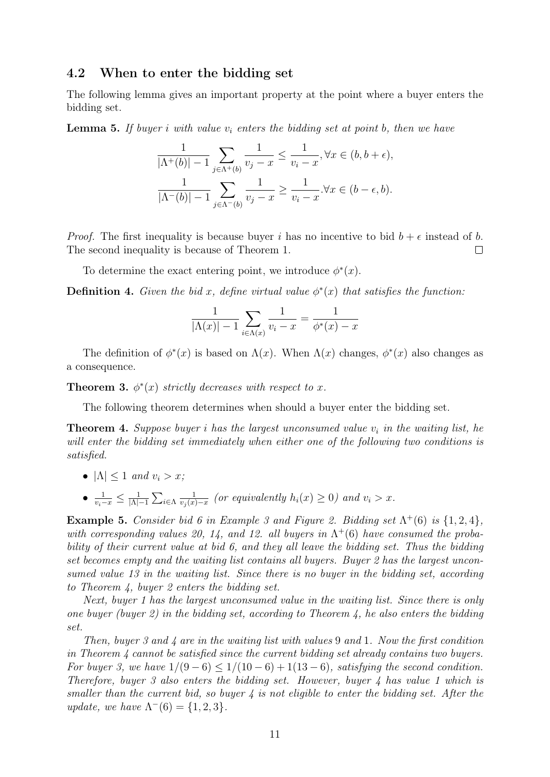## 4.2 When to enter the bidding set

The following lemma gives an important property at the point where a buyer enters the bidding set.

<span id="page-10-2"></span>**Lemma 5.** If buyer i with value  $v_i$  enters the bidding set at point b, then we have

$$
\frac{1}{|\Lambda^+(b)|-1}\sum_{j\in\Lambda^+(b)}\frac{1}{v_j-x}\leq\frac{1}{v_i-x}, \forall x\in(b,b+\epsilon),
$$
  

$$
\frac{1}{|\Lambda^-(b)|-1}\sum_{j\in\Lambda^-(b)}\frac{1}{v_j-x}\geq\frac{1}{v_i-x}.\forall x\in(b-\epsilon,b).
$$

*Proof.* The first inequality is because buyer i has no incentive to bid  $b + \epsilon$  instead of b. The second inequality is because of Theorem [1.](#page-8-1)  $\Box$ 

To determine the exact entering point, we introduce  $\phi^*(x)$ .

**Definition 4.** Given the bid x, define virtual value  $\phi^*(x)$  that satisfies the function:

$$
\frac{1}{|\Lambda(x)| - 1} \sum_{i \in \Lambda(x)} \frac{1}{v_i - x} = \frac{1}{\phi^*(x) - x}
$$

The definition of  $\phi^*(x)$  is based on  $\Lambda(x)$ . When  $\Lambda(x)$  changes,  $\phi^*(x)$  also changes as a consequence.

<span id="page-10-1"></span>**Theorem 3.**  $\phi^*(x)$  strictly decreases with respect to x.

The following theorem determines when should a buyer enter the bidding set.

<span id="page-10-0"></span>**Theorem 4.** Suppose buyer i has the largest unconsumed value  $v_i$  in the waiting list, he will enter the bidding set immediately when either one of the following two conditions is satisfied.

- $|\Lambda| \leq 1$  and  $v_i > x$ ;
- $\bullet$   $\frac{1}{v_i-x} \leq \frac{1}{|\Lambda|}$  $\frac{1}{|\Lambda|-1}\sum_{i\in\Lambda}$ 1  $\frac{1}{v_j(x)-x}$  (or equivalently  $h_i(x) \geq 0$ ) and  $v_i > x$ .

**Example 5.** Consider bid 6 in Example [3](#page-5-0) and Figure [2.](#page-6-0) Bidding set  $\Lambda^+(6)$  is  $\{1,2,4\}$ , with corresponding values 20, 14, and 12. all buyers in  $\Lambda^+(6)$  have consumed the probability of their current value at bid 6, and they all leave the bidding set. Thus the bidding set becomes empty and the waiting list contains all buyers. Buyer 2 has the largest unconsumed value 13 in the waiting list. Since there is no buyer in the bidding set, according to Theorem [4,](#page-10-0) buyer 2 enters the bidding set.

Next, buyer 1 has the largest unconsumed value in the waiting list. Since there is only one buyer (buyer 2) in the bidding set, according to Theorem [4,](#page-10-0) he also enters the bidding set.

Then, buyer 3 and 4 are in the waiting list with values 9 and 1. Now the first condition in Theorem [4](#page-10-0) cannot be satisfied since the current bidding set already contains two buyers. For buyer 3, we have  $1/(9-6) \le 1/(10-6) + 1(13-6)$ , satisfying the second condition. Therefore, buyer 3 also enters the bidding set. However, buyer 4 has value 1 which is smaller than the current bid, so buyer  $\ddot{A}$  is not eligible to enter the bidding set. After the update, we have  $\Lambda^{-}(6) = \{1, 2, 3\}.$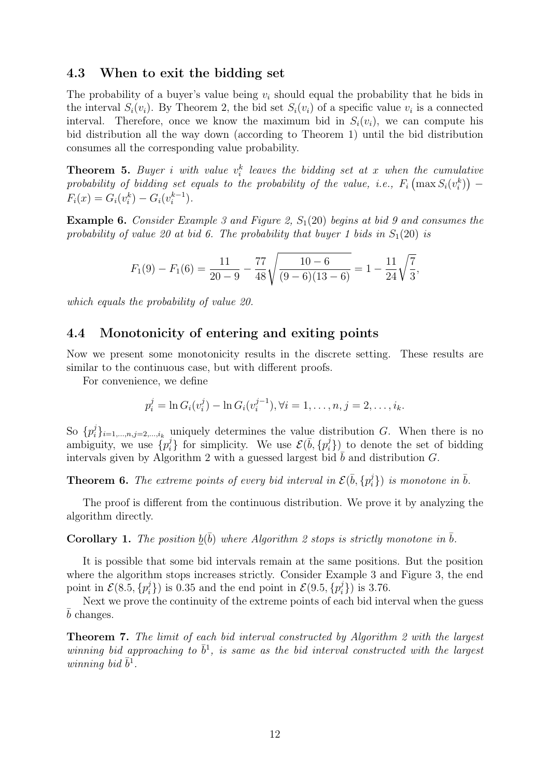### 4.3 When to exit the bidding set

The probability of a buyer's value being  $v_i$  should equal the probability that he bids in the interval  $S_i(v_i)$ . By Theorem [2,](#page-9-0) the bid set  $S_i(v_i)$  of a specific value  $v_i$  is a connected interval. Therefore, once we know the maximum bid in  $S_i(v_i)$ , we can compute his bid distribution all the way down (according to Theorem [1\)](#page-8-1) until the bid distribution consumes all the corresponding value probability.

<span id="page-11-3"></span>**Theorem 5.** Buyer i with value  $v_i^k$  leaves the bidding set at x when the cumulative probability of bidding set equals to the probability of the value, i.e.,  $F_i\left(\max S_i(v_i^k)\right)$  $F_i(x) = G_i(v_i^k) - G_i(v_i^{k-1})$  $i^{k-1}$ ).

**Example 6.** Consider Example [3](#page-5-0) and Figure [2,](#page-6-0)  $S_1(20)$  begins at bid 9 and consumes the probability of value 20 at bid 6. The probability that buyer 1 bids in  $S_1(20)$  is

$$
F_1(9) - F_1(6) = \frac{11}{20 - 9} - \frac{77}{48} \sqrt{\frac{10 - 6}{(9 - 6)(13 - 6)}} = 1 - \frac{11}{24} \sqrt{\frac{7}{3}},
$$

which equals the probability of value 20.

### 4.4 Monotonicity of entering and exiting points

Now we present some monotonicity results in the discrete setting. These results are similar to the continuous case, but with different proofs.

For convenience, we define

$$
p_i^j = \ln G_i(v_i^j) - \ln G_i(v_i^{j-1}), \forall i = 1, \dots, n, j = 2, \dots, i_k.
$$

So  $\{p_i^j\}$  $\{e_i\}_{i=1,\ldots,n,j=2,\ldots,i_k}$  uniquely determines the value distribution G. When there is no ambiguity, we use  $\{p_i^j\}$  $\mathcal{E}(\bar{b}, \{p_i^j\})$  for simplicity. We use  $\mathcal{E}(\bar{b}, \{p_i^j\})$  $\binom{1}{i}$  to denote the set of bidding intervals given by Algorithm [2](#page-7-1) with a guessed largest bid  $\bar{b}$  and distribution G.

<span id="page-11-0"></span>**Theorem 6.** The extreme points of every bid interval in  $\mathcal{E}(\bar{b}, \{p_i^j\})$  $\{\vec{i}\}\}$  is monotone in  $\bar{b}$ .

The proof is different from the continuous distribution. We prove it by analyzing the algorithm directly.

## <span id="page-11-2"></span>**Corollary 1.** The position  $\underline{b}(\bar{b})$  where Algorithm [2](#page-7-1) stops is strictly monotone in  $\bar{b}$ .

It is possible that some bid intervals remain at the same positions. But the position where the algorithm stops increases strictly. Consider Example [3](#page-5-0) and Figure [3,](#page-12-0) the end point in  $\mathcal{E}(8.5, \{p_i^j\})$  $\{\vec{z}_i^j\}$ ) is 0.35 and the end point in  $\mathcal{E}(9.5, \{p_i^j\})$  $\{i\}$ ) is 3.76.

Next we prove the continuity of the extreme points of each bid interval when the guess  $\bar{b}$  changes.

<span id="page-11-1"></span>Theorem 7. The limit of each bid interval constructed by Algorithm [2](#page-7-1) with the largest winning bid approaching to  $\bar{b}^1$ , is same as the bid interval constructed with the largest winning bid  $\bar{b}^1$ .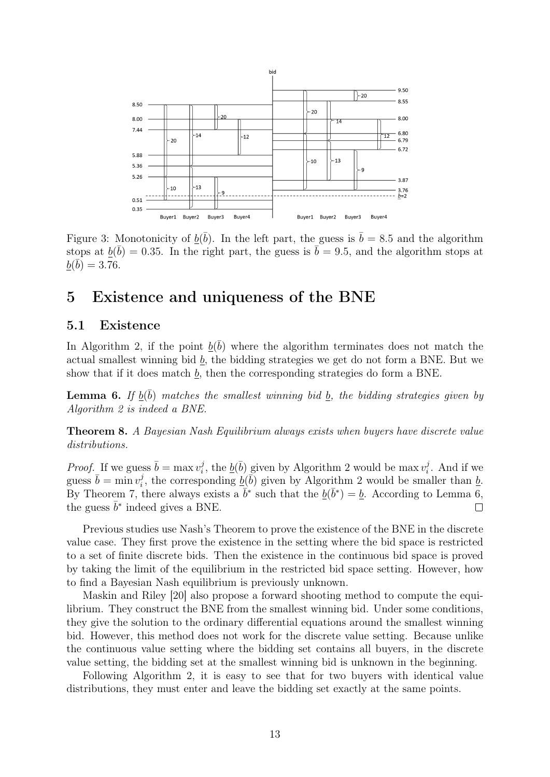<span id="page-12-0"></span>

Figure 3: Monotonicity of  $\underline{b}(\overline{b})$ . In the left part, the guess is  $\overline{b} = 8.5$  and the algorithm stops at  $\underline{b}(\bar{b}) = 0.35$ . In the right part, the guess is  $\bar{b} = 9.5$ , and the algorithm stops at  $\overline{b}(\overline{b}) = 3.76.$ 

## <span id="page-12-2"></span>5 Existence and uniqueness of the BNE

## 5.1 Existence

In Algorithm [2,](#page-7-1) if the point  $\underline{b}(\overline{b})$  where the algorithm terminates does not match the actual smallest winning bid  $b$ , the bidding strategies we get do not form a BNE. But we show that if it does match  $\underline{b}$ , then the corresponding strategies do form a BNE.

<span id="page-12-1"></span>**Lemma 6.** If  $\underline{b}(\bar{b})$  matches the smallest winning bid  $\underline{b}$ , the bidding strategies given by Algorithm [2](#page-7-1) is indeed a BNE.

Theorem 8. A Bayesian Nash Equilibrium always exists when buyers have discrete value distributions.

*Proof.* If we guess  $\bar{b} = \max v_i^j$  $\hat{p}_i^j$ , the  $\underline{b}(\bar{b})$  given by Algorithm [2](#page-7-1) would be max  $v_i^j$  $b_i^j$ . And if we guess  $\bar{b} = \min v_i^j$ <sup>j</sup>, the corresponding  $\underline{b}(\overline{b})$  given by Algorithm [2](#page-7-1) would be smaller than <u>b</u>. By Theorem [7,](#page-11-1) there always exists a  $\bar{b}^*$  such that the  $\underline{b}(\bar{b}^*) = \underline{b}$ . According to Lemma [6,](#page-12-1) the guess  $\bar{b}^*$  indeed gives a BNE.  $\Box$ 

Previous studies use Nash's Theorem to prove the existence of the BNE in the discrete value case. They first prove the existence in the setting where the bid space is restricted to a set of finite discrete bids. Then the existence in the continuous bid space is proved by taking the limit of the equilibrium in the restricted bid space setting. However, how to find a Bayesian Nash equilibrium is previously unknown.

Maskin and Riley [\[20\]](#page-22-6) also propose a forward shooting method to compute the equilibrium. They construct the BNE from the smallest winning bid. Under some conditions, they give the solution to the ordinary differential equations around the smallest winning bid. However, this method does not work for the discrete value setting. Because unlike the continuous value setting where the bidding set contains all buyers, in the discrete value setting, the bidding set at the smallest winning bid is unknown in the beginning.

Following Algorithm [2,](#page-7-1) it is easy to see that for two buyers with identical value distributions, they must enter and leave the bidding set exactly at the same points.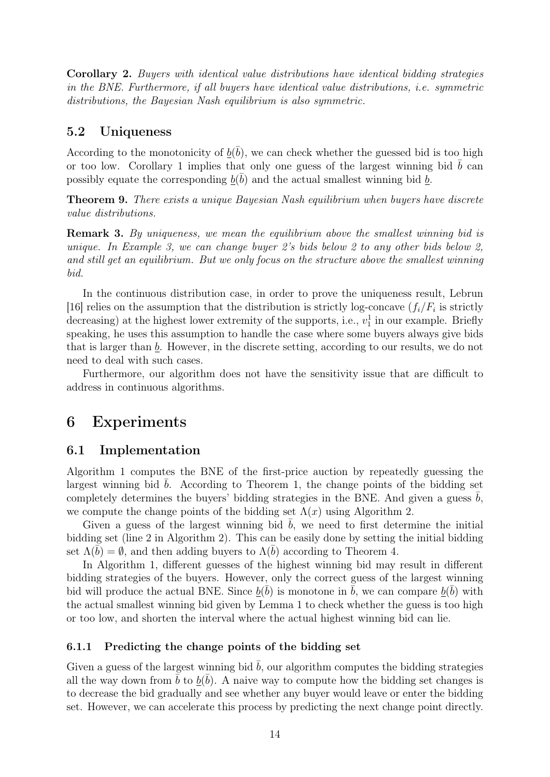Corollary 2. Buyers with identical value distributions have identical bidding strategies in the BNE. Furthermore, if all buyers have identical value distributions, i.e. symmetric distributions, the Bayesian Nash equilibrium is also symmetric.

### 5.2 Uniqueness

According to the monotonicity of  $\underline{b}(\overline{b})$ , we can check whether the guessed bid is too high or too low. Corollary [1](#page-11-2) implies that only one guess of the largest winning bid  $\bar{b}$  can possibly equate the corresponding  $\underline{b}(\overline{b})$  and the actual smallest winning bid  $\underline{b}$ .

<span id="page-13-0"></span>Theorem 9. There exists a unique Bayesian Nash equilibrium when buyers have discrete value distributions.

Remark 3. By uniqueness, we mean the equilibrium above the smallest winning bid is unique. In Example [3,](#page-5-0) we can change buyer 2's bids below 2 to any other bids below 2, and still get an equilibrium. But we only focus on the structure above the smallest winning bid.

In the continuous distribution case, in order to prove the uniqueness result, Lebrun [\[16\]](#page-22-2) relies on the assumption that the distribution is strictly log-concave  $(f_i/F_i)$  is strictly decreasing) at the highest lower extremity of the supports, i.e.,  $v_1^1$  in our example. Briefly speaking, he uses this assumption to handle the case where some buyers always give bids that is larger than  $\underline{b}$ . However, in the discrete setting, according to our results, we do not need to deal with such cases.

Furthermore, our algorithm does not have the sensitivity issue that are difficult to address in continuous algorithms.

## 6 Experiments

## 6.1 Implementation

Algorithm [1](#page-7-0) computes the BNE of the first-price auction by repeatedly guessing the largest winning bid  $b$ . According to Theorem [1,](#page-8-1) the change points of the bidding set completely determines the buyers' bidding strategies in the BNE. And given a guess  $b$ , we compute the change points of the bidding set  $\Lambda(x)$  using Algorithm [2.](#page-7-1)

Given a guess of the largest winning bid  $\bar{b}$ , we need to first determine the initial bidding set (line 2 in Algorithm [2\)](#page-7-1). This can be easily done by setting the initial bidding set  $\Lambda(b) = \emptyset$ , and then adding buyers to  $\Lambda(b)$  according to Theorem [4.](#page-10-0)

In Algorithm [1,](#page-7-0) different guesses of the highest winning bid may result in different bidding strategies of the buyers. However, only the correct guess of the largest winning bid will produce the actual BNE. Since  $\underline{b}(\overline{b})$  is monotone in  $\overline{b}$ , we can compare  $\underline{b}(\overline{b})$  with the actual smallest winning bid given by Lemma [1](#page-4-3) to check whether the guess is too high or too low, and shorten the interval where the actual highest winning bid can lie.

#### 6.1.1 Predicting the change points of the bidding set

Given a guess of the largest winning bid  $\bar{b}$ , our algorithm computes the bidding strategies all the way down from  $\bar{b}$  to  $\underline{b}(\bar{b})$ . A naive way to compute how the bidding set changes is to decrease the bid gradually and see whether any buyer would leave or enter the bidding set. However, we can accelerate this process by predicting the next change point directly.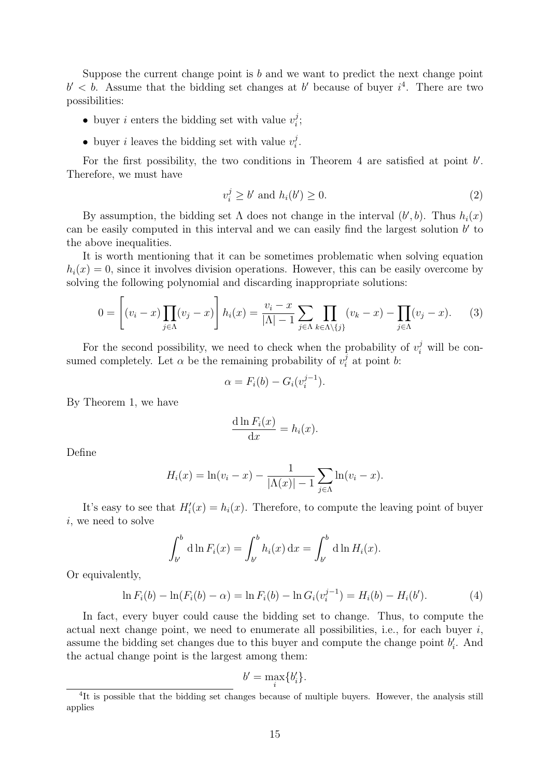Suppose the current change point is  $b$  and we want to predict the next change point  $b' < b$ . Assume that the bidding set changes at b' because of buyer  $i<sup>4</sup>$  $i<sup>4</sup>$  $i<sup>4</sup>$ . There are two possibilities:

- buyer *i* enters the bidding set with value  $v_i^j$  $\frac{j}{i}$
- buyer *i* leaves the bidding set with value  $v_i^j$  $\frac{j}{i}$  .

For the first possibility, the two conditions in Theorem [4](#page-10-0) are satisfied at point  $b'$ . Therefore, we must have

<span id="page-14-1"></span>
$$
v_i^j \ge b' \text{ and } h_i(b') \ge 0. \tag{2}
$$

By assumption, the bidding set  $\Lambda$  does not change in the interval  $(b', b)$ . Thus  $h_i(x)$ can be easily computed in this interval and we can easily find the largest solution  $b'$  to the above inequalities.

It is worth mentioning that it can be sometimes problematic when solving equation  $h_i(x) = 0$ , since it involves division operations. However, this can be easily overcome by solving the following polynomial and discarding inappropriate solutions:

$$
0 = \left[ (v_i - x) \prod_{j \in \Lambda} (v_j - x) \right] h_i(x) = \frac{v_i - x}{|\Lambda| - 1} \sum_{j \in \Lambda} \prod_{k \in \Lambda \setminus \{j\}} (v_k - x) - \prod_{j \in \Lambda} (v_j - x). \tag{3}
$$

For the second possibility, we need to check when the probability of  $v_i^j$  will be consumed completely. Let  $\alpha$  be the remaining probability of  $v_i^j$  $a_i^j$  at point b:

<span id="page-14-3"></span>
$$
\alpha = F_i(b) - G_i(v_i^{j-1}).
$$

By Theorem [1,](#page-8-1) we have

$$
\frac{\mathrm{d}\ln F_i(x)}{\mathrm{d}x} = h_i(x).
$$

Define

$$
H_i(x) = \ln(v_i - x) - \frac{1}{|\Lambda(x)| - 1} \sum_{j \in \Lambda} \ln(v_i - x).
$$

It's easy to see that  $H_i'(x) = h_i(x)$ . Therefore, to compute the leaving point of buyer i, we need to solve

$$
\int_{b'}^{b} d\ln F_i(x) = \int_{b'}^{b} h_i(x) dx = \int_{b'}^{b} d\ln H_i(x).
$$

Or equivalently,

$$
\ln F_i(b) - \ln(F_i(b) - \alpha) = \ln F_i(b) - \ln G_i(v_i^{j-1}) = H_i(b) - H_i(b'). \tag{4}
$$

In fact, every buyer could cause the bidding set to change. Thus, to compute the actual next change point, we need to enumerate all possibilities, i.e., for each buyer  $i$ , assume the bidding set changes due to this buyer and compute the change point  $b_i'$ . And the actual change point is the largest among them:

<span id="page-14-2"></span>
$$
b' = \max_i \{b'_i\}.
$$

<span id="page-14-0"></span><sup>&</sup>lt;sup>4</sup>It is possible that the bidding set changes because of multiple buyers. However, the analysis still applies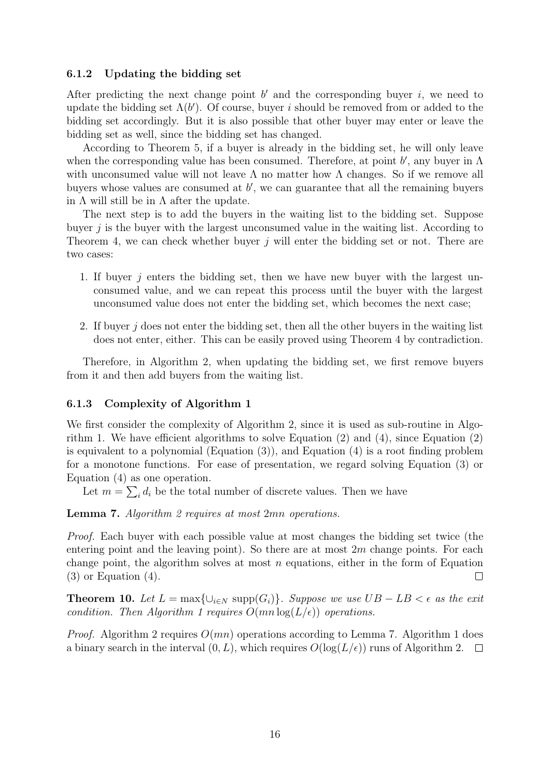### 6.1.2 Updating the bidding set

After predicting the next change point  $b'$  and the corresponding buyer  $i$ , we need to update the bidding set  $\Lambda(b')$ . Of course, buyer i should be removed from or added to the bidding set accordingly. But it is also possible that other buyer may enter or leave the bidding set as well, since the bidding set has changed.

According to Theorem [5,](#page-11-3) if a buyer is already in the bidding set, he will only leave when the corresponding value has been consumed. Therefore, at point  $b'$ , any buyer in  $\Lambda$ with unconsumed value will not leave  $\Lambda$  no matter how  $\Lambda$  changes. So if we remove all buyers whose values are consumed at  $b'$ , we can guarantee that all the remaining buyers in  $\Lambda$  will still be in  $\Lambda$  after the update.

The next step is to add the buyers in the waiting list to the bidding set. Suppose buyer  $j$  is the buyer with the largest unconsumed value in the waiting list. According to Theorem [4,](#page-10-0) we can check whether buyer  $j$  will enter the bidding set or not. There are two cases:

- 1. If buyer  $j$  enters the bidding set, then we have new buyer with the largest unconsumed value, and we can repeat this process until the buyer with the largest unconsumed value does not enter the bidding set, which becomes the next case;
- 2. If buyer j does not enter the bidding set, then all the other buyers in the waiting list does not enter, either. This can be easily proved using Theorem [4](#page-10-0) by contradiction.

Therefore, in Algorithm [2,](#page-7-1) when updating the bidding set, we first remove buyers from it and then add buyers from the waiting list.

### 6.1.3 Complexity of Algorithm [1](#page-7-0)

We first consider the complexity of Algorithm [2,](#page-7-1) since it is used as sub-routine in Algorithm [1.](#page-7-0) We have efficient algorithms to solve Equation [\(2\)](#page-14-1) and [\(4\)](#page-14-2), since Equation [\(2\)](#page-14-1) is equivalent to a polynomial (Equation  $(3)$ ), and Equation  $(4)$  is a root finding problem for a monotone functions. For ease of presentation, we regard solving Equation [\(3\)](#page-14-3) or Equation [\(4\)](#page-14-2) as one operation.

Let  $m = \sum_i d_i$  be the total number of discrete values. Then we have

#### <span id="page-15-0"></span>Lemma 7. Algorithm [2](#page-7-1) requires at most 2mn operations.

Proof. Each buyer with each possible value at most changes the bidding set twice (the entering point and the leaving point). So there are at most  $2m$  change points. For each change point, the algorithm solves at most  $n$  equations, either in the form of Equation  $(3)$  or Equation  $(4)$ .  $\Box$ 

**Theorem 10.** Let  $L = \max\{\cup_{i \in N} \text{supp}(G_i)\}\$ . Suppose we use  $UB - LB < \epsilon$  as the exit condition. Then Algorithm [1](#page-7-0) requires  $O(mn \log(L/\epsilon))$  operations.

*Proof.* Algorithm [2](#page-7-1) requires  $O(mn)$  operations according to Lemma [7.](#page-15-0) Algorithm [1](#page-7-0) does a binary search in the interval  $(0, L)$ , which requires  $O(\log(L/\epsilon))$  runs of Algorithm [2.](#page-7-1)  $\Box$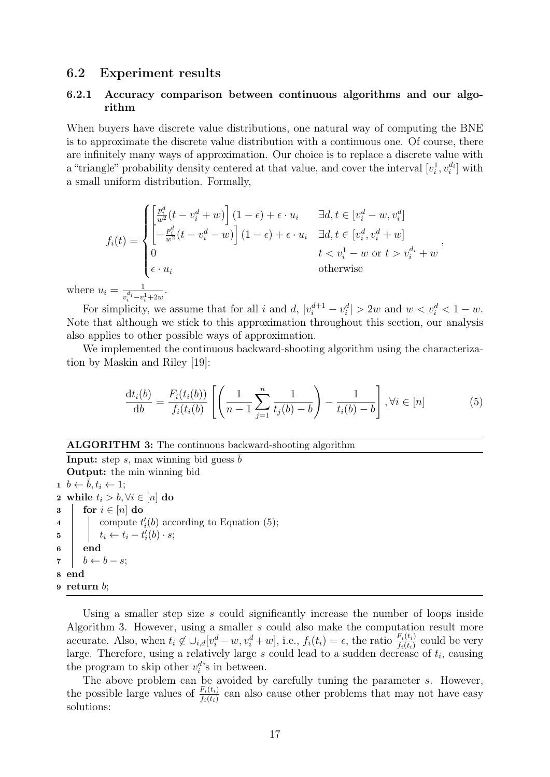### 6.2 Experiment results

### 6.2.1 Accuracy comparison between continuous algorithms and our algorithm

When buyers have discrete value distributions, one natural way of computing the BNE is to approximate the discrete value distribution with a continuous one. Of course, there are infinitely many ways of approximation. Our choice is to replace a discrete value with a "triangle" probability density centered at that value, and cover the interval  $[v_i^1, v_i^{d_i}]$  with a small uniform distribution. Formally,

$$
f_i(t) = \begin{cases} \left[\frac{p_i^d}{w^2}(t - v_i^d + w)\right](1 - \epsilon) + \epsilon \cdot u_i & \exists d, t \in [v_i^d - w, v_i^d] \\ \left[-\frac{p_i^d}{w^2}(t - v_i^d - w)\right](1 - \epsilon) + \epsilon \cdot u_i & \exists d, t \in [v_i^d, v_i^d + w] \\ 0 & t < v_i^1 - w \text{ or } t > v_i^{d_i} + w \\ \epsilon \cdot u_i & \text{otherwise} \end{cases},
$$
\n
$$
i = \frac{1}{v_i^{d_i} - v_i^1 + 2w}.
$$

where  $u$  $v_i^{u_i} - v_i^1 + 2w_i^1$ 

For simplicity, we assume that for all i and d,  $|v_i^{d+1} - v_i^d| > 2w$  and  $w < v_i^d < 1 - w$ . Note that although we stick to this approximation throughout this section, our analysis also applies to other possible ways of approximation.

We implemented the continuous backward-shooting algorithm using the characterization by Maskin and Riley [\[19\]](#page-22-5):

<span id="page-16-0"></span>
$$
\frac{dt_i(b)}{db} = \frac{F_i(t_i(b))}{f_i(t_i(b))} \left[ \left( \frac{1}{n-1} \sum_{j=1}^n \frac{1}{t_j(b) - b} \right) - \frac{1}{t_i(b) - b} \right], \forall i \in [n]
$$
(5)

#### ALGORITHM 3: The continuous backward-shooting algorithm

**Input:** step s, max winning bid guess  $\overline{b}$ Output: the min winning bid  $1 \;\; b \leftarrow \bar{b}, t_i \leftarrow 1;$ 2 while  $t_i > b, \forall i \in [n]$  do  $3 \mid \text{for } i \in [n] \text{ do}$ 4 \compute  $t_i'(b)$  according to Equation [\(5\)](#page-16-0);  $\mathbf{5}$   $\Big|$   $t_i \leftarrow t_i - t'_i(b) \cdot s;$ 6 end  $\mathbf{7}$  |  $b \leftarrow b - s$ ; 8 end 9 return b;

<span id="page-16-1"></span>Using a smaller step size s could significantly increase the number of loops inside Algorithm [3.](#page-16-1) However, using a smaller s could also make the computation result more accurate. Also, when  $t_i \notin \bigcup_{i,d} [v_i^d - w, v_i^d + w],$  i.e.,  $f_i(t_i) = \epsilon$ , the ratio  $\frac{F_i(t_i)}{f_i(t_i)}$  could be very large. Therefore, using a relatively large  $s$  could lead to a sudden decrease of  $t_i$ , causing the program to skip other  $v_i^d$ 's in between.

The above problem can be avoided by carefully tuning the parameter s. However, the possible large values of  $\frac{F_i(t_i)}{f_i(t_i)}$  can also cause other problems that may not have easy solutions: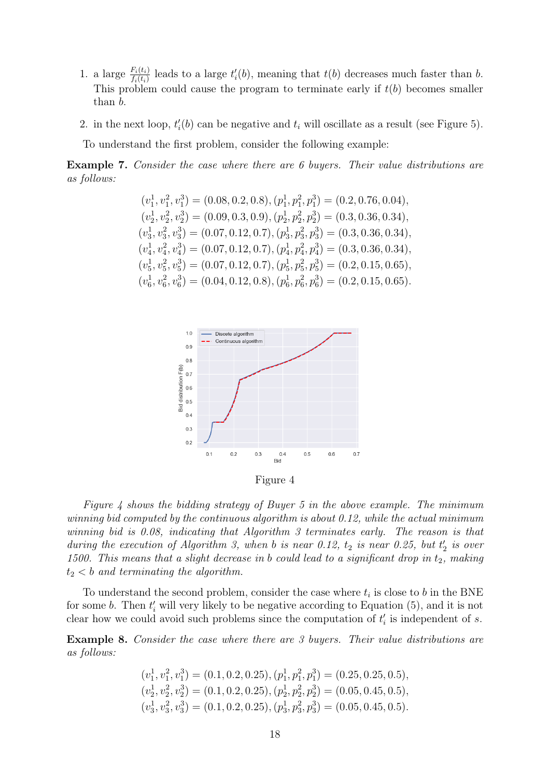- 1. a large  $\frac{F_i(t_i)}{f_i(t_i)}$  leads to a large  $t'_i(b)$ , meaning that  $t(b)$  decreases much faster than b. This problem could cause the program to terminate early if  $t(b)$  becomes smaller than b.
- 2. in the next loop,  $t'_{i}(b)$  can be negative and  $t_{i}$  will oscillate as a result (see Figure [5\)](#page-18-0).

To understand the first problem, consider the following example:

Example 7. Consider the case where there are 6 buyers. Their value distributions are as follows:

$$
(v_1^1, v_1^2, v_1^3) = (0.08, 0.2, 0.8), (p_1^1, p_1^2, p_1^3) = (0.2, 0.76, 0.04),(v_2^1, v_2^2, v_2^3) = (0.09, 0.3, 0.9), (p_2^1, p_2^2, p_2^3) = (0.3, 0.36, 0.34),(v_3^1, v_3^2, v_3^3) = (0.07, 0.12, 0.7), (p_3^1, p_3^2, p_3^3) = (0.3, 0.36, 0.34),(v_4^1, v_4^2, v_4^3) = (0.07, 0.12, 0.7), (p_4^1, p_4^2, p_4^3) = (0.3, 0.36, 0.34),(v_5^1, v_5^2, v_5^3) = (0.07, 0.12, 0.7), (p_5^1, p_5^2, p_5^3) = (0.2, 0.15, 0.65),(v_6^1, v_6^2, v_6^3) = (0.04, 0.12, 0.8), (p_6^1, p_6^2, p_6^3) = (0.2, 0.15, 0.65).
$$

<span id="page-17-0"></span>

Figure 4

Figure [4](#page-17-0) shows the bidding strategy of Buyer 5 in the above example. The minimum winning bid computed by the continuous algorithm is about 0.12, while the actual minimum winning bid is 0.08, indicating that Algorithm [3](#page-16-1) terminates early. The reason is that during the execution of Algorithm [3,](#page-16-1) when b is near 0.12,  $t_2$  is near 0.25, but  $t_2$  is over 1500. This means that a slight decrease in b could lead to a significant drop in  $t_2$ , making  $t_2 < b$  and terminating the algorithm.

To understand the second problem, consider the case where  $t_i$  is close to b in the BNE for some *b*. Then  $t'_{i}$  will very likely to be negative according to Equation [\(5\)](#page-16-0), and it is not clear how we could avoid such problems since the computation of  $t_i$  is independent of s.

Example 8. Consider the case where there are 3 buyers. Their value distributions are as follows:

$$
(v_1^1, v_1^2, v_1^3) = (0.1, 0.2, 0.25), (p_1^1, p_1^2, p_1^3) = (0.25, 0.25, 0.5),(v_2^1, v_2^2, v_2^3) = (0.1, 0.2, 0.25), (p_2^1, p_2^2, p_2^3) = (0.05, 0.45, 0.5),(v_3^1, v_3^2, v_3^3) = (0.1, 0.2, 0.25), (p_3^1, p_3^2, p_3^3) = (0.05, 0.45, 0.5).
$$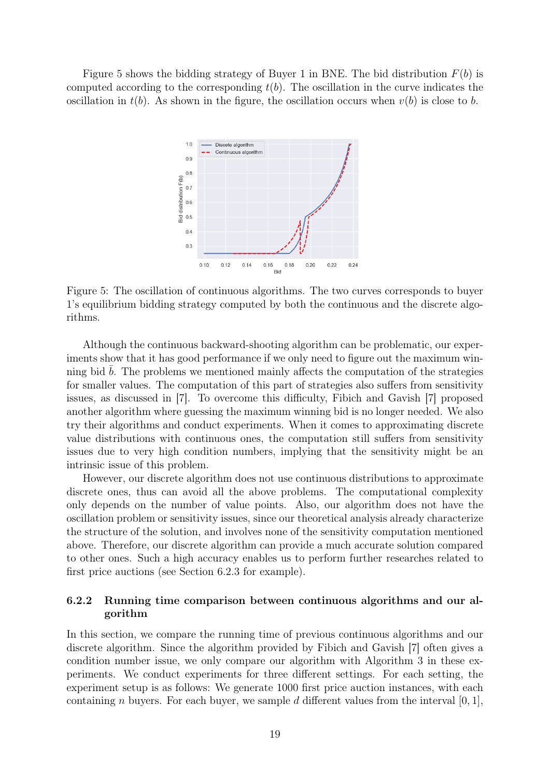<span id="page-18-0"></span>Figure [5](#page-18-0) shows the bidding strategy of Buyer 1 in BNE. The bid distribution  $F(b)$  is computed according to the corresponding  $t(b)$ . The oscillation in the curve indicates the oscillation in  $t(b)$ . As shown in the figure, the oscillation occurs when  $v(b)$  is close to b.



Figure 5: The oscillation of continuous algorithms. The two curves corresponds to buyer 1's equilibrium bidding strategy computed by both the continuous and the discrete algorithms.

Although the continuous backward-shooting algorithm can be problematic, our experiments show that it has good performance if we only need to figure out the maximum winning bid  $b$ . The problems we mentioned mainly affects the computation of the strategies for smaller values. The computation of this part of strategies also suffers from sensitivity issues, as discussed in [\[7\]](#page-22-12). To overcome this difficulty, Fibich and Gavish [\[7\]](#page-22-12) proposed another algorithm where guessing the maximum winning bid is no longer needed. We also try their algorithms and conduct experiments. When it comes to approximating discrete value distributions with continuous ones, the computation still suffers from sensitivity issues due to very high condition numbers, implying that the sensitivity might be an intrinsic issue of this problem.

However, our discrete algorithm does not use continuous distributions to approximate discrete ones, thus can avoid all the above problems. The computational complexity only depends on the number of value points. Also, our algorithm does not have the oscillation problem or sensitivity issues, since our theoretical analysis already characterize the structure of the solution, and involves none of the sensitivity computation mentioned above. Therefore, our discrete algorithm can provide a much accurate solution compared to other ones. Such a high accuracy enables us to perform further researches related to first price auctions (see Section [6.2.3](#page-20-0) for example).

### 6.2.2 Running time comparison between continuous algorithms and our algorithm

In this section, we compare the running time of previous continuous algorithms and our discrete algorithm. Since the algorithm provided by Fibich and Gavish [\[7\]](#page-22-12) often gives a condition number issue, we only compare our algorithm with Algorithm [3](#page-16-1) in these experiments. We conduct experiments for three different settings. For each setting, the experiment setup is as follows: We generate 1000 first price auction instances, with each containing n buyers. For each buyer, we sample d different values from the interval  $[0, 1]$ ,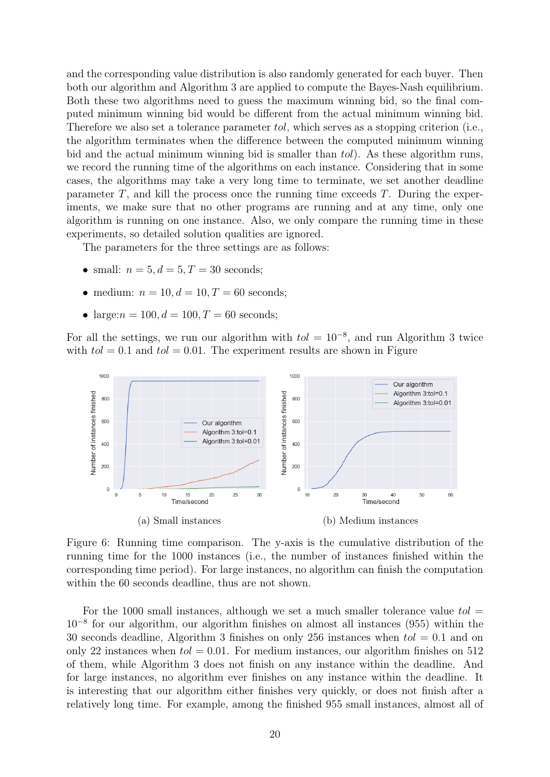and the corresponding value distribution is also randomly generated for each buyer. Then both our algorithm and Algorithm [3](#page-16-1) are applied to compute the Bayes-Nash equilibrium. Both these two algorithms need to guess the maximum winning bid, so the final computed minimum winning bid would be different from the actual minimum winning bid. Therefore we also set a tolerance parameter tol, which serves as a stopping criterion (i.e., the algorithm terminates when the difference between the computed minimum winning bid and the actual minimum winning bid is smaller than tol). As these algorithm runs, we record the running time of the algorithms on each instance. Considering that in some cases, the algorithms may take a very long time to terminate, we set another deadline parameter  $T$ , and kill the process once the running time exceeds  $T$ . During the experiments, we make sure that no other programs are running and at any time, only one algorithm is running on one instance. Also, we only compare the running time in these experiments, so detailed solution qualities are ignored.

The parameters for the three settings are as follows:

- small:  $n = 5, d = 5, T = 30$  seconds;
- medium:  $n = 10, d = 10, T = 60$  seconds;
- large: $n = 100, d = 100, T = 60$  seconds;

For all the settings, we run our algorithm with  $tol = 10^{-8}$ , and run Algorithm [3](#page-16-1) twice with  $tol = 0.1$  and  $tol = 0.01$ . The experiment results are shown in Figure



Figure 6: Running time comparison. The y-axis is the cumulative distribution of the running time for the 1000 instances (i.e., the number of instances finished within the corresponding time period). For large instances, no algorithm can finish the computation within the 60 seconds deadline, thus are not shown.

For the 1000 small instances, although we set a much smaller tolerance value  $tol =$ 10<sup>−</sup><sup>8</sup> for our algorithm, our algorithm finishes on almost all instances (955) within the 30 seconds deadline, Algorithm [3](#page-16-1) finishes on only 256 instances when  $tol = 0.1$  and on only 22 instances when  $tol = 0.01$ . For medium instances, our algorithm finishes on 512 of them, while Algorithm [3](#page-16-1) does not finish on any instance within the deadline. And for large instances, no algorithm ever finishes on any instance within the deadline. It is interesting that our algorithm either finishes very quickly, or does not finish after a relatively long time. For example, among the finished 955 small instances, almost all of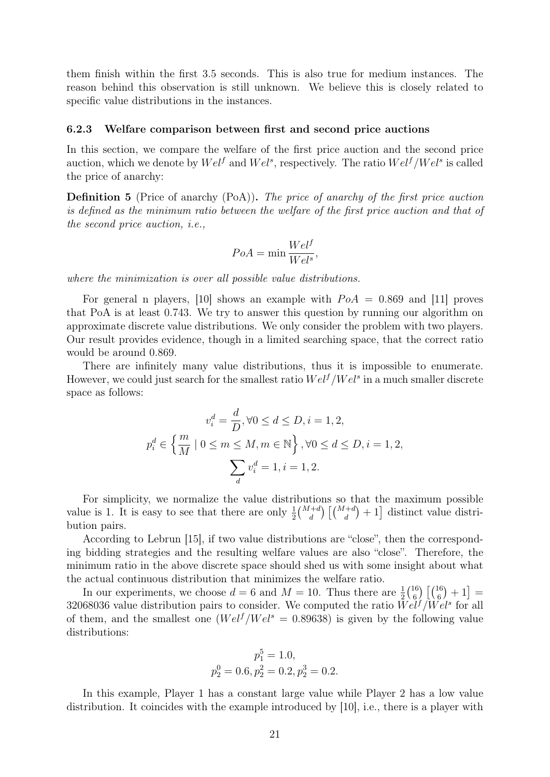them finish within the first 3.5 seconds. This is also true for medium instances. The reason behind this observation is still unknown. We believe this is closely related to specific value distributions in the instances.

#### <span id="page-20-0"></span>6.2.3 Welfare comparison between first and second price auctions

In this section, we compare the welfare of the first price auction and the second price auction, which we denote by  $Wel^f$  and  $Wel^s$ , respectively. The ratio  $Wel^f/Wel^s$  is called the price of anarchy:

Definition 5 (Price of anarchy (PoA)). The price of anarchy of the first price auction is defined as the minimum ratio between the welfare of the first price auction and that of the second price auction, i.e.,

$$
PoA = \min \frac{Wel^f}{Wel^s},
$$

where the minimization is over all possible value distributions.

For general n players, [\[10\]](#page-22-13) shows an example with  $PoA = 0.869$  and [\[11\]](#page-22-14) proves that PoA is at least 0.743. We try to answer this question by running our algorithm on approximate discrete value distributions. We only consider the problem with two players. Our result provides evidence, though in a limited searching space, that the correct ratio would be around 0.869.

There are infinitely many value distributions, thus it is impossible to enumerate. However, we could just search for the smallest ratio  $Wel<sup>f</sup>/Wel<sup>s</sup>$  in a much smaller discrete space as follows:

$$
v_i^d = \frac{d}{D}, \forall 0 \le d \le D, i = 1, 2,
$$
  

$$
p_i^d \in \left\{ \frac{m}{M} \mid 0 \le m \le M, m \in \mathbb{N} \right\}, \forall 0 \le d \le D, i = 1, 2,
$$
  

$$
\sum_d v_i^d = 1, i = 1, 2.
$$

For simplicity, we normalize the value distributions so that the maximum possible value is 1. It is easy to see that there are only  $\frac{1}{2} {M+d \choose d} [{M+d \choose d} + 1]$  distinct value distribution pairs.

According to Lebrun [\[15\]](#page-22-15), if two value distributions are "close", then the corresponding bidding strategies and the resulting welfare values are also "close". Therefore, the minimum ratio in the above discrete space should shed us with some insight about what the actual continuous distribution that minimizes the welfare ratio.

In our experiments, we choose  $d = 6$  and  $M = 10$ . Thus there are  $\frac{1}{2} {16 \choose 6}$  $_{6}^{16}\left[ \binom{16}{6}+1\right] =% \begin{bmatrix} 1 & 0 & 0 & 0 & 0\\ 0 & 1 & 0 & 0 & 0\\ 0 & 0 & 0 & 0 & 0\\ 0 & 0 & 0 & 0 & 0\\ 0 & 0 & 0 & 0 & 0\\ 0 & 0 & 0 & 0 & 0\\ 0 & 0 & 0 & 0 & 0\\ 0 & 0 & 0 & 0 & 0\\ 0 & 0 & 0 & 0 & 0\\ 0 & 0 & 0 & 0 & 0\\ 0 & 0 & 0 & 0 & 0\\ 0 & 0 & 0 & 0 & 0\\ 0 & 0 & 0 &$ 32068036 value distribution pairs to consider. We computed the ratio  $Wel^f/Wel^s$  for all of them, and the smallest one  $(Wel<sup>f</sup>/Wel<sup>s</sup> = 0.89638)$  is given by the following value distributions:

$$
p_1^5 = 1.0,
$$
  

$$
p_2^0 = 0.6, p_2^2 = 0.2, p_2^3 = 0.2.
$$

In this example, Player 1 has a constant large value while Player 2 has a low value distribution. It coincides with the example introduced by [\[10\]](#page-22-13), i.e., there is a player with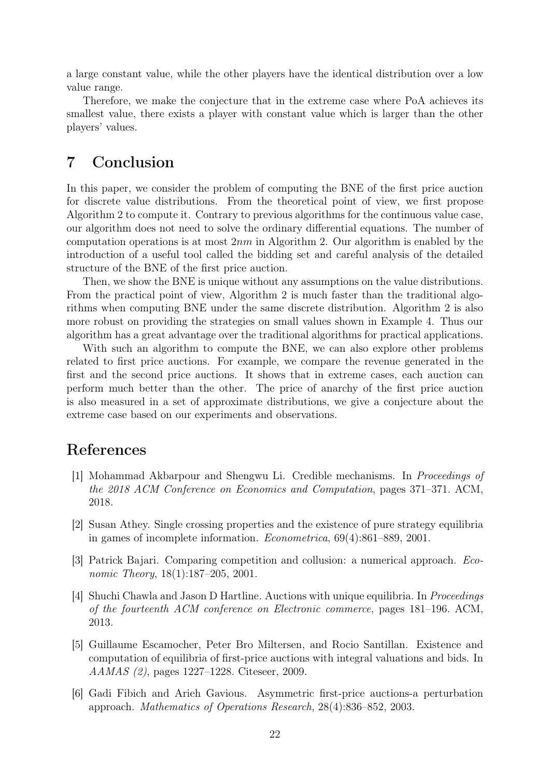a large constant value, while the other players have the identical distribution over a low value range.

Therefore, we make the conjecture that in the extreme case where PoA achieves its smallest value, there exists a player with constant value which is larger than the other players' values.

## 7 Conclusion

In this paper, we consider the problem of computing the BNE of the first price auction for discrete value distributions. From the theoretical point of view, we first propose Algorithm 2 to compute it. Contrary to previous algorithms for the continuous value case, our algorithm does not need to solve the ordinary differential equations. The number of computation operations is at most  $2nm$  in Algorithm [2.](#page-7-1) Our algorithm is enabled by the introduction of a useful tool called the bidding set and careful analysis of the detailed structure of the BNE of the first price auction.

Then, we show the BNE is unique without any assumptions on the value distributions. From the practical point of view, Algorithm 2 is much faster than the traditional algorithms when computing BNE under the same discrete distribution. Algorithm 2 is also more robust on providing the strategies on small values shown in Example [4.](#page-17-0) Thus our algorithm has a great advantage over the traditional algorithms for practical applications.

With such an algorithm to compute the BNE, we can also explore other problems related to first price auctions. For example, we compare the revenue generated in the first and the second price auctions. It shows that in extreme cases, each auction can perform much better than the other. The price of anarchy of the first price auction is also measured in a set of approximate distributions, we give a conjecture about the extreme case based on our experiments and observations.

## References

- <span id="page-21-0"></span>[1] Mohammad Akbarpour and Shengwu Li. Credible mechanisms. In Proceedings of the 2018 ACM Conference on Economics and Computation, pages 371–371. ACM, 2018.
- <span id="page-21-1"></span>[2] Susan Athey. Single crossing properties and the existence of pure strategy equilibria in games of incomplete information. Econometrica, 69(4):861–889, 2001.
- <span id="page-21-4"></span>[3] Patrick Bajari. Comparing competition and collusion: a numerical approach. Economic Theory, 18(1):187–205, 2001.
- <span id="page-21-2"></span>[4] Shuchi Chawla and Jason D Hartline. Auctions with unique equilibria. In Proceedings of the fourteenth ACM conference on Electronic commerce, pages 181–196. ACM, 2013.
- <span id="page-21-3"></span>[5] Guillaume Escamocher, Peter Bro Miltersen, and Rocio Santillan. Existence and computation of equilibria of first-price auctions with integral valuations and bids. In AAMAS (2), pages 1227–1228. Citeseer, 2009.
- <span id="page-21-5"></span>[6] Gadi Fibich and Arieh Gavious. Asymmetric first-price auctions-a perturbation approach. Mathematics of Operations Research, 28(4):836–852, 2003.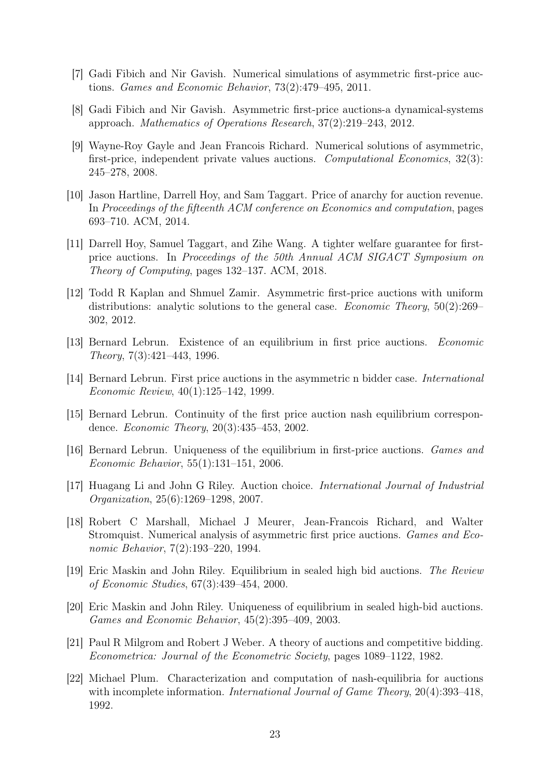- <span id="page-22-12"></span>[7] Gadi Fibich and Nir Gavish. Numerical simulations of asymmetric first-price auctions. Games and Economic Behavior, 73(2):479–495, 2011.
- <span id="page-22-11"></span>[8] Gadi Fibich and Nir Gavish. Asymmetric first-price auctions-a dynamical-systems approach. Mathematics of Operations Research, 37(2):219–243, 2012.
- <span id="page-22-10"></span>[9] Wayne-Roy Gayle and Jean Francois Richard. Numerical solutions of asymmetric, first-price, independent private values auctions. Computational Economics, 32(3): 245–278, 2008.
- <span id="page-22-13"></span>[10] Jason Hartline, Darrell Hoy, and Sam Taggart. Price of anarchy for auction revenue. In Proceedings of the fifteenth ACM conference on Economics and computation, pages 693–710. ACM, 2014.
- <span id="page-22-14"></span>[11] Darrell Hoy, Samuel Taggart, and Zihe Wang. A tighter welfare guarantee for firstprice auctions. In Proceedings of the 50th Annual ACM SIGACT Symposium on Theory of Computing, pages 132–137. ACM, 2018.
- <span id="page-22-1"></span>[12] Todd R Kaplan and Shmuel Zamir. Asymmetric first-price auctions with uniform distributions: analytic solutions to the general case. *Economic Theory*, 50(2):269– 302, 2012.
- <span id="page-22-4"></span>[13] Bernard Lebrun. Existence of an equilibrium in first price auctions. Economic Theory, 7(3):421–443, 1996.
- <span id="page-22-7"></span>[14] Bernard Lebrun. First price auctions in the asymmetric n bidder case. International Economic Review, 40(1):125–142, 1999.
- <span id="page-22-15"></span>[15] Bernard Lebrun. Continuity of the first price auction nash equilibrium correspondence. Economic Theory, 20(3):435–453, 2002.
- <span id="page-22-2"></span>[16] Bernard Lebrun. Uniqueness of the equilibrium in first-price auctions. Games and Economic Behavior, 55(1):131–151, 2006.
- <span id="page-22-9"></span>[17] Huagang Li and John G Riley. Auction choice. International Journal of Industrial Organization, 25(6):1269–1298, 2007.
- <span id="page-22-8"></span>[18] Robert C Marshall, Michael J Meurer, Jean-Francois Richard, and Walter Stromquist. Numerical analysis of asymmetric first price auctions. Games and Economic Behavior, 7(2):193–220, 1994.
- <span id="page-22-5"></span>[19] Eric Maskin and John Riley. Equilibrium in sealed high bid auctions. The Review of Economic Studies, 67(3):439–454, 2000.
- <span id="page-22-6"></span>[20] Eric Maskin and John Riley. Uniqueness of equilibrium in sealed high-bid auctions. Games and Economic Behavior, 45(2):395–409, 2003.
- <span id="page-22-3"></span>[21] Paul R Milgrom and Robert J Weber. A theory of auctions and competitive bidding. Econometrica: Journal of the Econometric Society, pages 1089–1122, 1982.
- <span id="page-22-0"></span>[22] Michael Plum. Characterization and computation of nash-equilibria for auctions with incomplete information. *International Journal of Game Theory*, 20(4):393–418, 1992.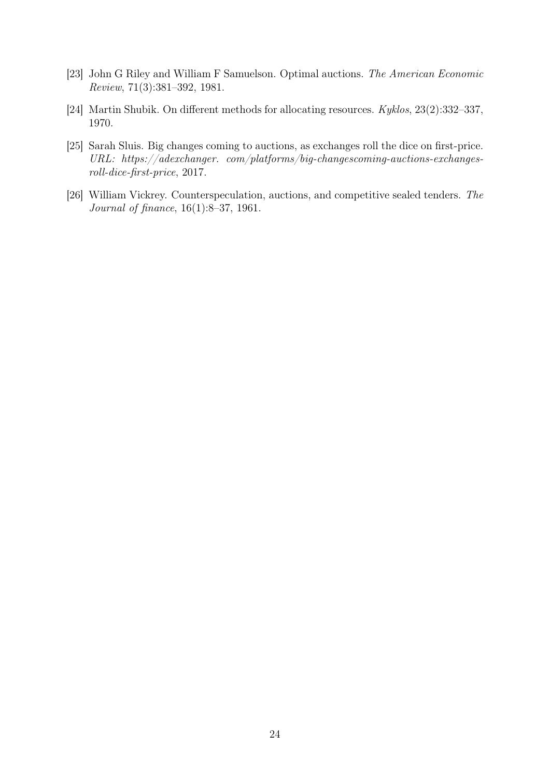- <span id="page-23-3"></span>[23] John G Riley and William F Samuelson. Optimal auctions. The American Economic Review, 71(3):381–392, 1981.
- <span id="page-23-2"></span>[24] Martin Shubik. On different methods for allocating resources. Kyklos, 23(2):332–337, 1970.
- <span id="page-23-0"></span>[25] Sarah Sluis. Big changes coming to auctions, as exchanges roll the dice on first-price. URL: https://adexchanger. com/platforms/big-changescoming-auctions-exchangesroll-dice-first-price, 2017.
- <span id="page-23-1"></span>[26] William Vickrey. Counterspeculation, auctions, and competitive sealed tenders. The Journal of finance, 16(1):8–37, 1961.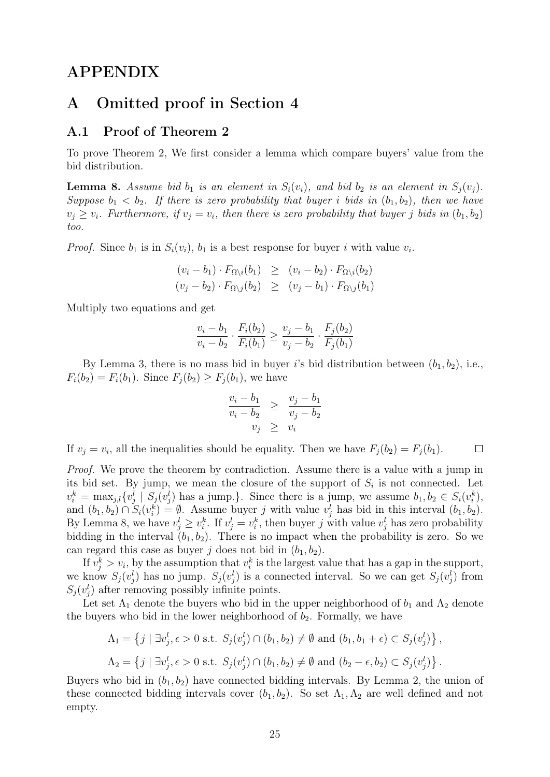## APPENDIX

## <span id="page-24-0"></span>A Omitted proof in Section [4](#page-7-3)

## A.1 Proof of Theorem [2](#page-9-0)

To prove Theorem [2,](#page-9-0) We first consider a lemma which compare buyers' value from the bid distribution.

<span id="page-24-1"></span>**Lemma 8.** Assume bid  $b_1$  is an element in  $S_i(v_i)$ , and bid  $b_2$  is an element in  $S_i(v_i)$ . Suppose  $b_1 < b_2$ . If there is zero probability that buyer i bids in  $(b_1, b_2)$ , then we have  $v_j \ge v_i$ . Furthermore, if  $v_j = v_i$ , then there is zero probability that buyer j bids in  $(b_1, b_2)$ too.

*Proof.* Since  $b_1$  is in  $S_i(v_i)$ ,  $b_1$  is a best response for buyer i with value  $v_i$ .

$$
(v_i - b_1) \cdot F_{\Omega \setminus i}(b_1) \ge (v_i - b_2) \cdot F_{\Omega \setminus i}(b_2)
$$
  

$$
(v_j - b_2) \cdot F_{\Omega \setminus j}(b_2) \ge (v_j - b_1) \cdot F_{\Omega \setminus j}(b_1)
$$

Multiply two equations and get

$$
\frac{v_i - b_1}{v_i - b_2} \cdot \frac{F_i(b_2)}{F_i(b_1)} \ge \frac{v_j - b_1}{v_j - b_2} \cdot \frac{F_j(b_2)}{F_j(b_1)}
$$

By Lemma [3,](#page-5-2) there is no mass bid in buyer i's bid distribution between  $(b_1, b_2)$ , i.e.,  $F_i(b_2) = F_i(b_1)$ . Since  $F_j(b_2) \geq F_j(b_1)$ , we have

$$
\frac{v_i - b_1}{v_i - b_2} \ge \frac{v_j - b_1}{v_j - b_2}
$$
  

$$
v_j \ge v_i
$$

If  $v_j = v_i$ , all the inequalities should be equality. Then we have  $F_j(b_2) = F_j(b_1)$ .  $\Box$ 

Proof. We prove the theorem by contradiction. Assume there is a value with a jump in its bid set. By jump, we mean the closure of the support of  $S_i$  is not connected. Let  $v_i^k = \max_{j,l} \{v_j^l | S_j(v_j^l) \text{ has a jump.}\}\.$  Since there is a jump, we assume  $b_1, b_2 \in S_i(v_i^k)$ , and  $(b_1, b_2) \cap S_i(v_i^k) = \emptyset$ . Assume buyer j with value  $v_j^l$  has bid in this interval  $(b_1, b_2)$ . By Lemma [8,](#page-24-1) we have  $v_j^l \geq v_i^k$ . If  $v_j^l = v_i^k$ , then buyer j with value  $v_j^l$  has zero probability bidding in the interval  $(b_1, b_2)$ . There is no impact when the probability is zero. So we can regard this case as buyer j does not bid in  $(b_1, b_2)$ .

If  $v_j^k > v_i$ , by the assumption that  $v_i^k$  is the largest value that has a gap in the support, we know  $S_j(v_j^l)$  has no jump.  $S_j(v_j^l)$  is a connected interval. So we can get  $S_j(v_j^l)$  from  $S_j(v_j^l)$  after removing possibly infinite points.

Let set  $\Lambda_1$  denote the buyers who bid in the upper neighborhood of  $b_1$  and  $\Lambda_2$  denote the buyers who bid in the lower neighborhood of  $b_2$ . Formally, we have

$$
\Lambda_1 = \left\{ j \mid \exists v_j^l, \epsilon > 0 \text{ s.t. } S_j(v_j^l) \cap (b_1, b_2) \neq \emptyset \text{ and } (b_1, b_1 + \epsilon) \subset S_j(v_j^l) \right\},\
$$
  

$$
\Lambda_2 = \left\{ j \mid \exists v_j^l, \epsilon > 0 \text{ s.t. } S_j(v_j^l) \cap (b_1, b_2) \neq \emptyset \text{ and } (b_2 - \epsilon, b_2) \subset S_j(v_j^l) \right\}.
$$

Buyers who bid in  $(b_1, b_2)$  have connected bidding intervals. By Lemma [2,](#page-5-3) the union of these connected bidding intervals cover  $(b_1, b_2)$ . So set  $\Lambda_1, \Lambda_2$  are well defined and not empty.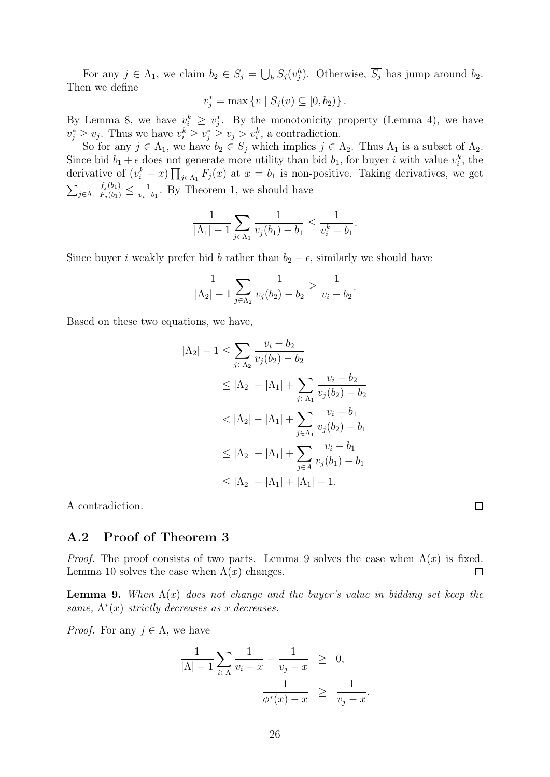For any  $j \in \Lambda_1$ , we claim  $b_2 \in S_j = \bigcup_h S_j(v_j^h)$ . Otherwise,  $\overline{S_j}$  has jump around  $b_2$ . Then we define

$$
v_j^* = \max \{ v \mid S_j(v) \subseteq [0, b_2) \}.
$$

By Lemma [8,](#page-24-1) we have  $v_i^k \geq v_j^*$ . By the monotonicity property (Lemma [4\)](#page-5-1), we have  $v_j^* \ge v_j$ . Thus we have  $v_i^k \ge v_j^* \ge v_j > v_i^k$ , a contradiction.

So for any  $j \in \Lambda_1$ , we have  $b_2 \in S_j$  which implies  $j \in \Lambda_2$ . Thus  $\Lambda_1$  is a subset of  $\Lambda_2$ . Since bid  $b_1 + \epsilon$  does not generate more utility than bid  $b_1$ , for buyer i with value  $v_i^k$ , the derivative of  $(v_i^k - x) \prod_{j \in \Lambda_1} F_j(x)$  at  $x = b_1$  is non-positive. Taking derivatives, we get  $\sum_{j\in\Lambda_1}$  $\frac{f_j(b_1)}{F_j(b_1)} \leq \frac{1}{v_i-1}$  $\frac{1}{v_i-b_1}$ . By Theorem [1,](#page-8-1) we should have

$$
\frac{1}{|\Lambda_1|-1}\sum_{j\in\Lambda_1}\frac{1}{v_j(b_1)-b_1}\leq \frac{1}{v_i^k-b_1}.
$$

Since buyer i weakly prefer bid b rather than  $b_2 - \epsilon$ , similarly we should have

$$
\frac{1}{|\Lambda_2| - 1} \sum_{j \in \Lambda_2} \frac{1}{v_j(b_2) - b_2} \ge \frac{1}{v_i - b_2}.
$$

Based on these two equations, we have,

$$
|\Lambda_2| - 1 \le \sum_{j \in \Lambda_2} \frac{v_i - b_2}{v_j(b_2) - b_2}
$$
  
\n
$$
\le |\Lambda_2| - |\Lambda_1| + \sum_{j \in \Lambda_1} \frac{v_i - b_2}{v_j(b_2) - b_2}
$$
  
\n
$$
< |\Lambda_2| - |\Lambda_1| + \sum_{j \in \Lambda_1} \frac{v_i - b_1}{v_j(b_2) - b_1}
$$
  
\n
$$
\le |\Lambda_2| - |\Lambda_1| + \sum_{j \in A} \frac{v_i - b_1}{v_j(b_1) - b_1}
$$
  
\n
$$
\le |\Lambda_2| - |\Lambda_1| + |\Lambda_1| - 1.
$$

A contradiction.

### A.2 Proof of Theorem [3](#page-10-1)

*Proof.* The proof consists of two parts. Lemma [9](#page-25-0) solves the case when  $\Lambda(x)$  is fixed. Lemma [10](#page-26-0) solves the case when  $\Lambda(x)$  changes.  $\Box$ 

<span id="page-25-0"></span>**Lemma 9.** When  $\Lambda(x)$  does not change and the buyer's value in bidding set keep the same,  $\Lambda^*(x)$  strictly decreases as x decreases.

*Proof.* For any  $j \in \Lambda$ , we have

$$
\frac{1}{|\Lambda| - 1} \sum_{i \in \Lambda} \frac{1}{v_i - x} - \frac{1}{v_j - x} \geq 0, \n\frac{1}{\phi^*(x) - x} \geq \frac{1}{v_j - x}.
$$

 $\Box$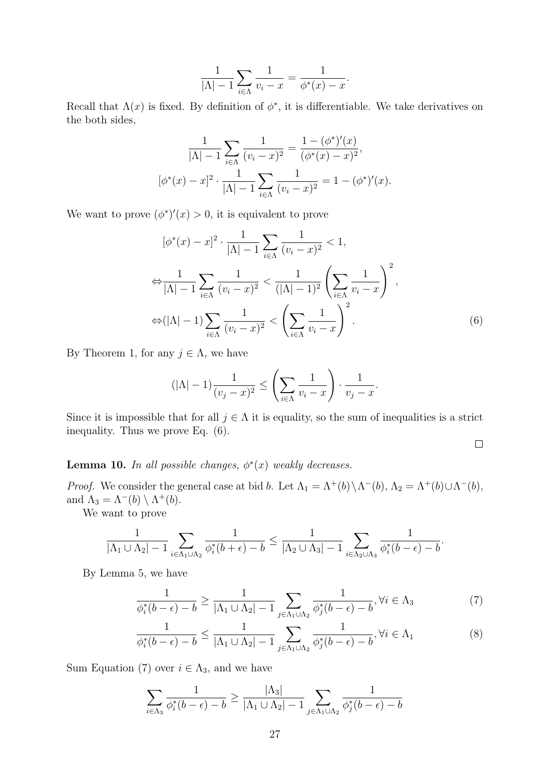$$
\frac{1}{|\Lambda| - 1} \sum_{i \in \Lambda} \frac{1}{v_i - x} = \frac{1}{\phi^*(x) - x}.
$$

Recall that  $\Lambda(x)$  is fixed. By definition of  $\phi^*$ , it is differentiable. We take derivatives on the both sides,

$$
\frac{1}{|\Lambda| - 1} \sum_{i \in \Lambda} \frac{1}{(v_i - x)^2} = \frac{1 - (\phi^*)'(x)}{(\phi^*(x) - x)^2},
$$

$$
[\phi^*(x) - x]^2 \cdot \frac{1}{|\Lambda| - 1} \sum_{i \in \Lambda} \frac{1}{(v_i - x)^2} = 1 - (\phi^*)'(x).
$$

We want to prove  $(\phi^*)'(x) > 0$ , it is equivalent to prove

$$
[\phi^*(x) - x]^2 \cdot \frac{1}{|\Lambda| - 1} \sum_{i \in \Lambda} \frac{1}{(v_i - x)^2} < 1,
$$
\n
$$
\Leftrightarrow \frac{1}{|\Lambda| - 1} \sum_{i \in \Lambda} \frac{1}{(v_i - x)^2} < \frac{1}{(|\Lambda| - 1)^2} \left( \sum_{i \in \Lambda} \frac{1}{v_i - x} \right)^2,
$$
\n
$$
\Leftrightarrow (|\Lambda| - 1) \sum_{i \in \Lambda} \frac{1}{(v_i - x)^2} < \left( \sum_{i \in \Lambda} \frac{1}{v_i - x} \right)^2.
$$
\n(6)

By Theorem [1,](#page-8-1) for any  $j \in \Lambda$ , we have

$$
(|\Lambda| - 1)\frac{1}{(v_j - x)^2} \le \left(\sum_{i \in \Lambda} \frac{1}{v_i - x}\right) \cdot \frac{1}{v_j - x}.
$$

Since it is impossible that for all  $j \in \Lambda$  it is equality, so the sum of inequalities is a strict inequality. Thus we prove Eq. [\(6\)](#page-26-1).

<span id="page-26-3"></span><span id="page-26-2"></span><span id="page-26-1"></span> $\Box$ 

<span id="page-26-0"></span>**Lemma 10.** In all possible changes,  $\phi^*(x)$  weakly decreases.

*Proof.* We consider the general case at bid b. Let  $\Lambda_1 = \Lambda^+(b) \setminus \Lambda^-(b)$ ,  $\Lambda_2 = \Lambda^+(b) \cup \Lambda^-(b)$ , and  $\Lambda_3 = \Lambda^-(b) \setminus \Lambda^+(b)$ .

We want to prove

$$
\frac{1}{|\Lambda_1\cup\Lambda_2|-1}\sum_{i\in\Lambda_1\cup\Lambda_2}\frac{1}{\phi_i^*(b+\epsilon)-b}\leq\frac{1}{|\Lambda_2\cup\Lambda_3|-1}\sum_{i\in\Lambda_2\cup\Lambda_3}\frac{1}{\phi_i^*(b-\epsilon)-b}.
$$

By Lemma [5,](#page-10-2) we have

$$
\frac{1}{\phi_i^*(b-\epsilon) - b} \ge \frac{1}{|\Lambda_1 \cup \Lambda_2| - 1} \sum_{j \in \Lambda_1 \cup \Lambda_2} \frac{1}{\phi_j^*(b-\epsilon) - b}, \forall i \in \Lambda_3
$$
 (7)

$$
\frac{1}{\phi_i^*(b-\epsilon)-b} \le \frac{1}{|\Lambda_1 \cup \Lambda_2|-1} \sum_{j \in \Lambda_1 \cup \Lambda_2} \frac{1}{\phi_j^*(b-\epsilon)-b}, \forall i \in \Lambda_1
$$
 (8)

Sum Equation [\(7\)](#page-26-2) over  $i \in \Lambda_3$ , and we have

$$
\sum_{i \in \Lambda_3} \frac{1}{\phi_i^*(b-\epsilon) - b} \ge \frac{|\Lambda_3|}{|\Lambda_1 \cup \Lambda_2| - 1} \sum_{j \in \Lambda_1 \cup \Lambda_2} \frac{1}{\phi_j^*(b-\epsilon) - b}
$$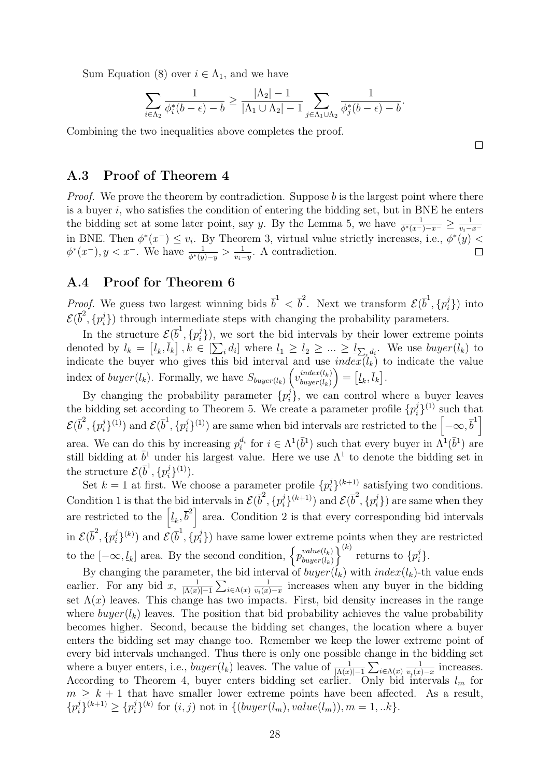Sum Equation [\(8\)](#page-26-3) over  $i \in \Lambda_1$ , and we have

$$
\sum_{i\in\Lambda_2}\frac{1}{\phi_i^*(b-\epsilon)-b}\geq \frac{|\Lambda_2|-1}{|\Lambda_1\cup\Lambda_2|-1}\sum_{j\in\Lambda_1\cup\Lambda_2}\frac{1}{\phi_j^*(b-\epsilon)-b}.
$$

Combining the two inequalities above completes the proof.

 $\Box$ 

## A.3 Proof of Theorem [4](#page-10-0)

*Proof.* We prove the theorem by contradiction. Suppose b is the largest point where there is a buyer  $i$ , who satisfies the condition of entering the bidding set, but in BNE he enters the bidding set at some later point, say y. By the Lemma [5,](#page-10-2) we have  $\frac{1}{\phi^*(x^-)-x^-} \ge \frac{1}{v_i-}$  $\overline{v_i-x}$ in BNE. Then  $\phi^*(x^-) \leq v_i$ . By Theorem [3,](#page-10-1) virtual value strictly increases, i.e.,  $\phi^*(y)$  $\phi^*(x^-), y < x^-$ . We have  $\frac{1}{\phi^*(y)-y} > \frac{1}{v_i-}$  $\frac{1}{v_i-y}$ . A contradiction.

## A.4 Proof for Theorem [6](#page-11-0)

*Proof.* We guess two largest winning bids  $\bar{b}^1 < \bar{b}^2$ . Next we transform  $\mathcal{E}(\bar{b}^1, \{p_i^j\})$  $\{r_i^j\})$  into  $\mathcal{E}(\overline{b}^2, \{p_i^j$  $\binom{1}{i}$ ) through intermediate steps with changing the probability parameters.

In the structure  $\mathcal{E}(\overline{b}^1, \{p_i^j\})$  $\binom{1}{i}$ , we sort the bid intervals by their lower extreme points denoted by  $l_k = [\underline{l}_k, \overline{l}_k]$ ,  $k \in [\sum_i d_i]$  where  $\underline{l}_1 \ge \underline{l}_2 \ge \dots \ge \underline{l}_{\sum_i d_i}$ . We use  $buyer(l_k)$  to indicate the buyer who gives this bid interval and use  $index(l_k)$  to indicate the value index of  $buyer(l_k)$ . Formally, we have  $S_{buyer(l_k)}\left(v_{buyer(l_k)}^{index(l_k)}\right)$  $\mathit{buyer}(l_k)$  $\Big) = \big[\underline{l}_k, \overline{l}_k\big].$ 

By changing the probability parameter  $\{p_i^j\}$  $\{e_i\}$ , we can control where a buyer leaves the bidding set according to Theorem [5.](#page-11-3) We create a parameter profile  $\{p_i^j\}$  $\binom{j}{i}$ <sup>(1)</sup> such that  $\mathcal{E}(\overline{b}^2, \{p_i^j$  $\{\vec{y}_i\}^{(1)}$  and  $\mathcal{E}(\overline{b}^1, \{p_i^j\})$  $\left( \frac{i}{i} \right)^{(1)}$  are same when bid intervals are restricted to the  $\left[ -\infty, \overline{b}^1 \right]$ area. We can do this by increasing  $p_i^{d_i}$  for  $i \in \Lambda^1(\bar{b}^1)$  such that every buyer in  $\Lambda^1(\bar{b}^1)$  are still bidding at  $\bar{b}^1$  under his largest value. Here we use  $\Lambda^1$  to denote the bidding set in the structure  $\mathcal{E}(\overline{b}^1, \{p_i^j\})$  $_{i}^{j}\}^{(1)}).$ 

Set  $k = 1$  at first. We choose a parameter profile  $\{p_i^j\}$  $\binom{i}{i}$ <sup>(k+1)</sup> satisfying two conditions. Condition 1 is that the bid intervals in  $\mathcal{E}(\overline{b}^2, \{p_i^j\})$  $\{\vec{y}_i\}^{(k+1)}$ ) and  $\mathcal{E}(\overline{b}^2, \{p_i^j\})$  $\{r_i^j\}$ ) are same when they are restricted to the  $\left[\underline{l}_k, \overline{b}^2\right]$  area. Condition 2 is that every corresponding bid intervals in  $\mathcal{E}(\overline{b}^2, \{p_i^j\})$  $\{\vec{y}_i^{(k)}\}$  and  $\mathcal{E}(\overline{b}^1, \{p_i^{j}\})$  $\binom{1}{i}$ ) have same lower extreme points when they are restricted to the  $[-\infty, \underline{l}_k]$  area. By the second condition,  $\left\{p_{buyer(l_k)}^{value(l_k)}\right\}$  $/$ buyer $(l_k)$  $\left\{\right\}^{(k)}$  returns to  $\left\{p_i^j\right\}$  $\big\}^j_i\big\}.$ 

By changing the parameter, the bid interval of  $buyer(l_k)$  with  $index(l_k)$ -th value ends earlier. For any bid  $x, \frac{1}{\vert \Lambda(x) \vert}$  $\frac{1}{|\Lambda(x)|-1}\sum_{i\in\Lambda(x)}$ 1  $\frac{1}{v_i(x)-x}$  increases when any buyer in the bidding set  $\Lambda(x)$  leaves. This change has two impacts. First, bid density increases in the range where  $buyer(l_k)$  leaves. The position that bid probability achieves the value probability becomes higher. Second, because the bidding set changes, the location where a buyer enters the bidding set may change too. Remember we keep the lower extreme point of every bid intervals unchanged. Thus there is only one possible change in the bidding set where a buyer enters, i.e.,  $buyer(l_k)$  leaves. The value of  $\frac{1}{|\Lambda(x)|-1} \sum_{i \in \Lambda(x)}$ 1  $\frac{1}{v_i(x)-x}$  increases. According to Theorem [4,](#page-10-0) buyer enters bidding set earlier. Only bid intervals  $l_m$  for  $m \geq k + 1$  that have smaller lower extreme points have been affected. As a result,  $\{p_i^j\}$  $\{i\}^{(k+1)} \geq \{p_i^j\}$  $j_i^{(k)}$  for  $(i, j)$  not in  $\{(buyer(l_m), value(l_m)), m = 1, ...k\}.$